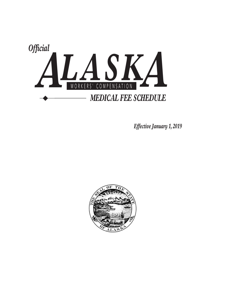

*Effective January 1, 2019* 

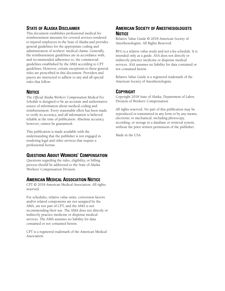# **STATE OF ALASKA DISCLAIMER**

This document establishes professional medical fee reimbursement amounts for covered services rendered to injured employees in the State of Alaska and provides general guidelines for the appropriate coding and administration of workers' medical claims. Generally, the reimbursement guidelines are in accordance with, and recommended adherence to, the commercial guidelines established by the AMA according to CPT guidelines. However, certain exceptions to these general rules are proscribed in this document. Providers and payers are instructed to adhere to any and all special rules that follow.

## **NOTICE**

The *Official Alaska Workers' Compensation Medical Fee Schedule* is designed to be an accurate and authoritative source of information about medical coding and reimbursement. Every reasonable effort has been made to verify its accuracy, and all information is believed reliable at the time of publication. Absolute accuracy, however, cannot be guaranteed.

This publication is made available with the understanding that the publisher is not engaged in rendering legal and other services that require a professional license.

## **QUESTIONS ABOUT WORKERS' COMPENSATION**

Questions regarding the rules, eligibility, or billing process should be addressed to the State of Alaska Workers' Compensation Division.

## **AMERICAN MEDICAL ASSOCIATION NOTICE**

CPT © 2018 American Medical Association. All rights reserved.

Fee schedules, relative value units, conversion factors and/or related components are not assigned by the AMA, are not part of CPT, and the AMA is not recommending their use. The AMA does not directly or indirectly practice medicine or dispense medical services. The AMA assumes no liability for data contained or not contained herein.

CPT is a registered trademark of the American Medical Association.

## **AMERICAN SOCIETY OF ANESTHESIOLOGISTS NOTICE**

Relative Value Guide © 2018 American Society of Anesthesiologists. All Rights Reserved.

RVG is a relative value study and not a fee schedule. It is intended only as a guide. ASA does not directly or indirectly practice medicine or dispense medical services. ASA assumes no liability for data contained or not contained herein.

Relative Value Guide is a registered trademark of the American Society of Anesthesiologists.

## **COPYRIGHT**

Copyright 2018 State of Alaska, Department of Labor, Division of Workers' Compensation

All rights reserved. No part of this publication may be reproduced or transmitted in any form or by any means, electronic or mechanical, including photocopy, recording, or storage in a database or retrieval system, without the prior written permission of the publisher.

Made in the USA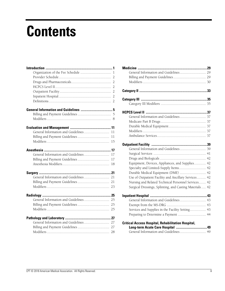# **Contents**

| 11 |
|----|
| 11 |
| 15 |
|    |
| 17 |
| 17 |
| 18 |
|    |
|    |
|    |
|    |
|    |
|    |
|    |
|    |
|    |
|    |
|    |
|    |

| Equipment, Devices, Appliances, and Supplies 42           |  |
|-----------------------------------------------------------|--|
| Specialty and Limited-Supply Items 42                     |  |
| Durable Medical Equipment (DME)  42                       |  |
| Use of Outpatient Facility and Ancillary Services 42      |  |
| Nursing and Related Technical Personnel Services 42       |  |
| Surgical Dressings, Splinting, and Casting Materials  42  |  |
|                                                           |  |
| General Information and Guidelines 43                     |  |
|                                                           |  |
| Services and Supplies in the Facility Setting 43          |  |
| Preparing to Determine a Payment  44                      |  |
| <b>Critical Access Hospital, Rehabilitation Hospital,</b> |  |
|                                                           |  |
| General Information and Guidelines 49                     |  |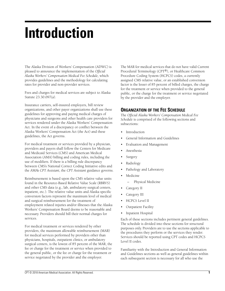# **Introduction**

The Alaska Division of Workers' Compensation (ADWC) is pleased to announce the implementation of the *Official Alaska Workers' Compensation Medical Fee Schedule,* which provides guidelines and the methodology for calculating rates for provider and non-provider services.

Fees and charges for medical services are subject to Alaska Statute 23.30.097(a).

Insurance carriers, self-insured employers, bill review organizations, and other payer organizations shall use these guidelines for approving and paying medical charges of physicians and surgeons and other health care providers for services rendered under the Alaska Workers' Compensation Act. In the event of a discrepancy or conflict between the Alaska Workers' Compensation Act (the Act) and these guidelines, the Act governs.

For medical treatment or services provided by a physician, providers and payers shall follow the Centers for Medicare and Medicaid Services (CMS) and American Medical Association (AMA) billing and coding rules, including the use of modifiers. If there is a billing rule discrepancy between CMS's National Correct Coding Initiative edits and the AMA's *CPT Assistant*, the *CPT Assistant* guidance governs.

Reimbursement is based upon the CMS relative value units found in the Resource-Based Relative Value Scale (RBRVS) and other CMS data (e.g., lab, ambulatory surgical centers, inpatient, etc.). The relative value units and Alaska specific conversion factors represent the maximum level of medical and surgical reimbursement for the treatment of employment related injuries and/or illnesses that the Alaska Workers' Compensation Board deems to be reasonable and necessary. Providers should bill their normal charges for services.

For medical treatment or services rendered by other providers, the maximum allowable reimbursement (MAR) for medical services performed by providers other than physicians, hospitals, outpatient clinics, or ambulatory surgical centers, is the lowest of 85 percent of the MAR, the fee or charge for the treatment or service when provided to the general public, or the fee or charge for the treatment or service negotiated by the provider and the employer.

The MAR for medical services that do not have valid Current Procedural Terminology (CPT®), or Healthcare Common Procedure Coding System (HCPCS) codes, a currently assigned CMS relative value, or an established conversion factor is the lesser of 85 percent of billed charges, the charge for the treatment or service when provided to the general public, or the charge for the treatment or service negotiated by the provider and the employer.

## **ORGANIZATION OF THE FEE SCHEDULE**

The *Official Alaska Workers' Compensation Medical Fee Schedule* is comprised of the following sections and subsections:

- **Introduction**
- General Information and Guidelines
- Evaluation and Management
- Anesthesia
- **Surgery**
- Radiology
- Pathology and Laboratory
- Medicine
	- Physical Medicine
- Category II
- Category III
- HCPCS Level II
- Outpatient Facility
- Inpatient Hospital

Each of these sections includes pertinent general guidelines. The schedule is divided into these sections for structural purposes only. Providers are to use the sections applicable to the procedures they perform or the services they render. Services should be reported using CPT codes and HCPCS Level II codes.

Familiarity with the Introduction and General Information and Guidelines sections as well as general guidelines within each subsequent section is necessary for all who use the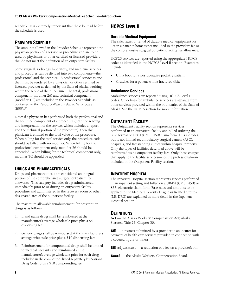schedule. It is extremely important that these be read before the schedule is used.

# **PROVIDER SCHEDULE**

The amounts allowed in the Provider Schedule represent the physician portion of a service or procedure and are to be used by physicians or other certified or licensed providers that do not meet the definition of an outpatient facility.

Some surgical, radiology, laboratory, and medicine services and procedures can be divided into two components—the professional and the technical. A professional service is one that must be rendered by a physician or other certified or licensed provider as defined by the State of Alaska working within the scope of their licensure. The total, professional component (modifier 26) and technical component (modifier TC) are included in the Provider Schedule as contained in the Resource-Based Relative Value Scale (RBRVS).

Note: If a physician has performed both the professional and the technical component of a procedure (both the reading and interpretation of the service, which includes a report, and the technical portion of the procedure), then that physician is entitled to the total value of the procedure. When billing for the total service only, the procedure code should be billed with no modifier. When billing for the professional component only, modifier 26 should be appended. When billing for the technical component only, modifier TC should be appended.

# **DRUGS AND PHARMACEUTICALS**

Drugs and pharmaceuticals are considered an integral portion of the comprehensive surgical outpatient fee allowance. This category includes drugs administered immediately prior to or during an outpatient facility procedure and administered in the recovery room or other designated area of the outpatient facility.

The maximum allowable reimbursement for prescription drugs is as follows:

- 1. Brand name drugs shall be reimbursed at the manufacturer's average wholesale price plus a \$5 dispensing fee;
- 2. Generic drugs shall be reimbursed at the manufacturer's average wholesale price plus a \$10 dispensing fee;
- 3. Reimbursement for compounded drugs shall be limited to medical necessity and reimbursed at the manufacturer's average wholesale price for each drug included in the compound, listed separately by National Drug Code, plus a \$10 compounding fee.

# **HCPCS LEVEL II**

## **Durable Medical Equipment**

The sale, lease, or rental of durable medical equipment for use in a patient's home is not included in the provider's fee or the comprehensive surgical outpatient facility fee allowance.

HCPCS services are reported using the appropriate HCPCS codes as identified in the HCPCS Level II section. Examples include:

- Unna boot for a postoperative podiatry patient
- Crutches for a patient with a fractured tibia

## **Ambulance Services**

Ambulance services are reported using HCPCS Level II codes. Guidelines for ambulance services are separate from other services provided within the boundaries of the State of Alaska. See the HCPCS section for more information.

# **OUTPATIENT FACILITY**

The Outpatient Facility section represents services performed in an outpatient facility and billed utilizing the 837i format or UB04 (CMS 1450) claim form. This includes, but is not limited to, ambulatory surgical centers (ASC), hospitals, and freestanding clinics within hospital property. Only the types of facilities described above will be reimbursed using outpatient facility fees. Only those charges that apply to the facility services—not the professional—are included in the Outpatient Facility section.

## **INPATIENT HOSPITAL**

The Inpatient Hospital section represents services performed in an inpatient setting and billed on a UB-04 (CMS 1450) or 837i electronic claim form. Base rates and amounts to be applied to the Medicare Severity Diagnosis Related Groups (MS-DRG) are explained in more detail in the Inpatient Hospital section.

## **DEFINITIONS**

**Act** — the Alaska Workers' Compensation Act; Alaska Statutes, Title 23, Chapter 30.

**Bill** — a request submitted by a provider to an insurer for payment of health care services provided in connection with a covered injury or illness.

**Bill adjustment** — a reduction of a fee on a provider's bill.

**Board** — the Alaska Workers' Compensation Board.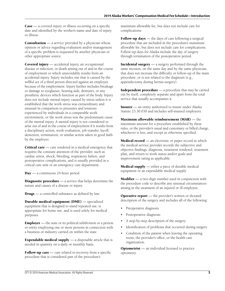**Case** — a covered injury or illness occurring on a specific date and identified by the worker's name and date of injury or illness.

**Consultation** — a service provided by a physician whose opinion or advice regarding evaluation and/or management of a specific problem is requested by another physician or other appropriate source.

**Covered injury** — accidental injury, an occupational disease or infection, or death arising out of and in the course of employment or which unavoidably results from an accidental injury. Injury includes one that is caused by the willful act of a third person directed against an employee because of the employment. Injury further includes breakage or damage to eyeglasses, hearing aids, dentures, or any prosthetic devices which function as part of the body. Injury does not include mental injury caused by stress unless it is established that the work stress was extraordinary and unusual in comparison to pressures and tensions experienced by individuals in a comparable work environment, or the work stress was the predominant cause of the mental injury. A mental injury is not considered to arise out of and in the course of employment if it results from a disciplinary action, work evaluation, job transfer, layoff, demotion, termination, or similar action taken in good faith by the employer.

**Critical care** — care rendered in a medical emergency that requires the constant attention of the provider, such as cardiac arrest, shock, bleeding, respiratory failure, and postoperative complications, and is usually provided in a critical care unit or an emergency care department.

**Day** — a continuous 24-hour period.

**Diagnostic procedure** — a service that helps determine the nature and causes of a disease or injury.

**Drugs** — a controlled substance as defined by law.

**Durable medical equipment (DME)** — specialized equipment that is designed to stand repeated use, is appropriate for home use, and is used solely for medical purposes.

**Employer** — the state or its political subdivision or a person or entity employing one or more persons in connection with a business or industry carried on within the state.

**Expendable medical supply** — a disposable article that is needed in quantity on a daily or monthly basis.

**Follow-up care** — care related to recovery from a specific procedure that is considered part of the procedure's

maximum allowable fee, but does not include care for complications.

**Follow-up days** — the days of care following a surgical procedure that are included in the procedure's maximum allowable fee, but does not include care for complications. Follow-up days for Alaska include the day of surgery through termination of the postoperative period.

**Incidental surgery** — a surgery performed through the same incision, on the same day and by the same physician, that does not increase the difficulty or follow-up of the main procedure, or is not related to the diagnosis (e.g., appendectomy during hernia surgery).

**Independent procedure** — a procedure that may be carried out by itself, completely separate and apart from the total service that usually accompanies it.

**Insurer** — an entity authorized to insure under Alaska Statute 23.30.030 and includes self-insured employers.

**Maximum allowable reimbursement (MAR)** — the maximum amount for a procedure established by these rules, or the provider's usual and customary or billed charge, whichever is less, and except as otherwise specified.

**Medical record** — an electronic or paper record in which the medical service provider records the subjective and objective findings, diagnosis, treatment rendered, treatment plan, and return to work status and/or goals and improvement rating as applicable.

**Medical supply** — either a piece of durable medical equipment or an expendable medical supply.

**Modifier** — a two-digit number used in conjunction with the procedure code to describe any unusual circumstances arising in the treatment of an injured or ill employee.

**Operative report** — the provider's written or dictated description of the surgery and includes all of the following:

- Preoperative diagnosis
- Postoperative diagnosis
- A step-by-step description of the surgery
- Identification of problems that occurred during surgery
- Condition of the patient when leaving the operating room, the provider's office, or the health care organization.

**Optometrist** — an individual licensed to practice optometry.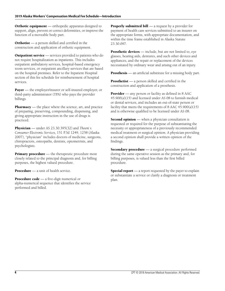**Orthotic equipment** — orthopedic apparatus designed to support, align, prevent or correct deformities, or improve the function of a moveable body part.

**Orthotist** — a person skilled and certified in the construction and application of orthotic equipment.

**Outpatient service** — services provided to patients who do not require hospitalization as inpatients. This includes outpatient ambulatory services, hospital-based emergency room services, or outpatient ancillary services that are based on the hospital premises. Refer to the Inpatient Hospital section of this fee schedule for reimbursement of hospital services.

**Payer** — the employer/insurer or self-insured employer, or third-party administrator (TPA) who pays the provider billings.

**Pharmacy** — the place where the science, art, and practice of preparing, preserving, compounding, dispensing, and giving appropriate instruction in the use of drugs is practiced.

**Physician** — under AS 23.30.395(32) and *Thoeni v. Consumer Electronic Services,* 151 P.3d 1249, 1258 (Alaska 2007), "physician" includes doctors of medicine, surgeons, chiropractors, osteopaths, dentists, optometrists, and psychologists.

**Primary procedure** — the therapeutic procedure most closely related to the principal diagnosis and, for billing purposes, the highest valued procedure.

**Procedure** — a unit of health service.

**Procedure code** — a five-digit numerical or alpha-numerical sequence that identifies the service performed and billed.

**Properly submitted bill** — a request by a provider for payment of health care services submitted to an insurer on the appropriate forms, with appropriate documentation, and within the time frame established in Alaska Statute 23.30.097.

**Prosthetic devices** — include, but are not limited to, eye glasses, hearing aids, dentures, and such other devices and appliances, and the repair or replacement of the devices necessitated by ordinary wear and arising out of an injury.

**Prosthesis** — an artificial substitute for a missing body part.

**Prosthetist** — a person skilled and certified in the construction and application of a prosthesis.

**Provider** — any person or facility as defined in 8 AAC 45.900(a)(15) and licensed under AS 08 to furnish medical or dental services, and includes an out-of-state person or facility that meets the requirements of  $8$  AAC  $45.900(a)(15)$ and is otherwise qualified to be licensed under AS 08.

**Second opinion** — when a physician consultation is requested or required for the purpose of substantiating the necessity or appropriateness of a previously recommended medical treatment or surgical opinion. A physician providing a second opinion shall provide a written opinion of the findings.

**Secondary procedure** — a surgical procedure performed during the same operative session as the primary and, for billing purposes, is valued less than the first billed procedure.

**Special report** — a report requested by the payer to explain or substantiate a service or clarify a diagnosis or treatment plan.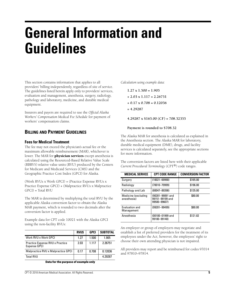# **General Information and Guidelines**

This section contains information that applies to all providers' billing independently, regardless of site of service. The guidelines listed herein apply only to providers' services, evaluation and management, anesthesia, surgery, radiology, pathology and laboratory, medicine, and durable medical equipment.

Insurers and payers are required to use the *Official Alaska Workers' Compensation Medical Fee Schedule* for payment of workers' compensation claims.

# **BILLING AND PAYMENT GUIDELINES**

#### **Fees for Medical Treatment**

The fee may not exceed the physician's actual fee or the maximum allowable reimbursement (MAR), whichever is lower. The MAR for **physician services** except anesthesia is calculated using the Resourced-Based Relative Value Scale (RBRVS) relative value units (RVU) produced by the Centers for Medicare and Medicaid Services (CMS) and the Geographic Practice Cost Index (GPCI) for Alaska.

(Work RVUs x Work GPCI) + (Practice Expense RVUs x Practice Expense GPCI) + (Malpractice RVUs x Malpractice GPCI) = Total RVU

The MAR is determined by multiplying the total RVU by the applicable Alaska conversion factor to obtain the Alaska MAR payment, which is rounded to two decimals after the conversion factor is applied.

Example data for CPT code 10021 with the Alaska GPCI using the non-facility RVUs:

|                                                 | <b>RVUS</b> | GPCI  | <b>SUBTOTAL</b> |
|-------------------------------------------------|-------------|-------|-----------------|
| Work RVU x Work GPCI                            | 1.27        | 1.500 | 1.905           |
| Practice Expense RVU x Practice<br>Expense GPCI | 2.03        | 1.117 | 2.26751         |
| Malpractice RVU x Malpractice GPCI              | 0.17        | 0.708 | 0.12036         |
| <b>Total RVU</b>                                |             |       | 4.29287         |

**Data for the purpose of example only**

*Calculation using example data:*

- **1.27 x 1.500 = 1.905**
- **+ 2.03 x 1.117 = 2.26751**
- **+ 0.17 x 0.708 = 0.12036**
- **= 4.29287**

**4.29287 x \$165.00 (CF) = 708.32355**

#### **Payment is rounded to \$708.32**

The Alaska MAR for anesthesia is calculated as explained in the Anesthesia section. The Alaska MAR for laboratory, durable medical equipment (DME), drugs, and facility services is calculated separately, see the appropriate sections for more information.

The conversion factors are listed here with their applicable *Current Procedural Terminology* (CPT®) code ranges.

| <b>MEDICAL SERVICE</b>              | <b>CPT CODE RANGE</b>                               | <b>CONVERSION FACTOR</b> |
|-------------------------------------|-----------------------------------------------------|--------------------------|
| Surgery                             | $(10021 - 69990)$                                   | \$165.00                 |
| Radiology                           | $(70010 - 79999)$                                   | \$196.00                 |
| Pathology and Lab                   | $(80047 - 89398)$                                   | \$135.00                 |
| Medicine (excluding<br>anesthesia)  | (90281-99091 and<br>99151-99199 and<br>99500-99607) | \$80.00                  |
| <b>Fyaluation and</b><br>Management | $(99201 - 99499)$                                   | \$80.00                  |
| Anesthesia                          | (00100-01999 and<br>99100-99140)                    | \$121.82                 |

An employer or group of employers may negotiate and establish a list of preferred providers for the treatment of its employees under the Act; however, the employees' right to choose their own attending physician is not impaired.

All providers may report and be reimbursed for codes 97014 and 97810–97814.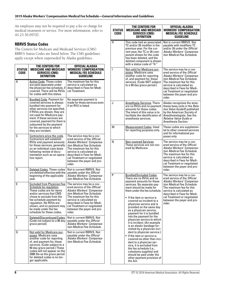An employee may not be required to pay a fee or charge for medical treatment or service. For more information, refer to AS 23.30.097(f).

## **RBRVS Status Codes**

The Centers for Medicare and Medicaid Services (CMS) RBRVS Status Codes are listed below. The CMS guidelines apply except where superseded by Alaska guidelines.

| <b>STATUS</b><br>CODE | THE CENTERS FOR<br><b>MEDICARE AND MEDICAID</b><br><b>SERVICES (CMS)</b><br><b>DEFINITION</b>                                                                                                                                                                                                                                         | OFFICIAL ALASKA<br><b>WORKERS' COMPENSATION</b><br><b>MEDICAL FEE SCHEDULE</b><br><b>GUIDELINE</b>                                                                                                                                                                                        |
|-----------------------|---------------------------------------------------------------------------------------------------------------------------------------------------------------------------------------------------------------------------------------------------------------------------------------------------------------------------------------|-------------------------------------------------------------------------------------------------------------------------------------------------------------------------------------------------------------------------------------------------------------------------------------------|
| А                     | Active Code. These codes<br>are paid separately under<br>the physician fee schedule, if<br>covered. There will be RVUs<br>for codes with this status.                                                                                                                                                                                 | The maximum fee for this<br>service is calculated as<br>described in Fees for Medi-<br>cal Treatment.                                                                                                                                                                                     |
| B                     | <b>Bundled Code. Payment for</b><br>covered services is always<br>bundled into payment for<br>other services not specified.<br>If RVUs are shown, they are<br>not used for Medicare pay-<br>ment. If these services are<br>covered, payment for them is<br>subsumed by the payment<br>for the services to which<br>they are incident. | No separate payment is<br>made for these services even<br>if an RVU is listed.                                                                                                                                                                                                            |
| С                     | Contractors price the code.<br>Contractors will establish<br>RVUs and payment amounts<br>for these services, generally<br>on an individual case basis<br>following review of docu-<br>mentation such as an opera-<br>tive report.                                                                                                     | The service may be a cov-<br>ered service of the Official<br>Alaska Workers' Compensa-<br>tion Medical Fee Schedule.<br>The maximum fee for this<br>service is calculated as<br>described in Fees for Medi-<br>cal Treatment or negotiated<br>between the payer and pro-<br>vider.        |
| D                     | Deleted Codes. These codes<br>are deleted effective with the<br>beginning of the applicable<br>year.                                                                                                                                                                                                                                  | Not in current RBRVS. Not<br>payable under the Official<br>Alaska Workers' Compensa-<br>tion Medical Fee Schedule.                                                                                                                                                                        |
| E                     | <b>Excluded from Physician Fee</b><br><u>Schedule by regulation.</u><br>These codes are for items<br>and/or services that CMS<br>chose to exclude from the<br>fee schedule payment by<br>regulation. No RVUs are<br>shown, and no payment may<br>be made under the fee<br>schedule for these codes.                                   | The service may be a cov-<br>ered service of the <i>Official</i><br>Alaska Workers' Compensa-<br>tion Medical Fee Schedule.<br>The maximum fee for this<br>service is calculated as<br>described in Fees for Medi-<br>cal Treatment or negotiated<br>between the payer and pro-<br>vider. |
| F                     | Deleted/Discontinued Codes.<br>(Code not subject to a 90 day<br>grace period).                                                                                                                                                                                                                                                        | Not in current RBRVS. Not<br>payable under the Official<br>Alaska Workers' Compensa-<br>tion Medical Fee Schedule.                                                                                                                                                                        |
| G                     | Not valid for Medicare pur-<br>poses. Medicare uses<br>another code for reporting<br>of, and payment for, these<br>services. (Code subject to a<br>90 day grace period.) These<br>codes will not appear on the<br>2006 file as the grace period<br>for deleted codes is no lon-<br>ger applicable.                                    | Not in current RBRVS. Not<br>payable under the Official<br>Alaska Workers' Compensa-<br>tion Medical Fee Schedule.                                                                                                                                                                        |

| <b>STATUS</b><br>CODE | THE CENTERS FOR<br><b>MEDICARE AND MEDICAID</b><br><b>SERVICES (CMS)</b><br>DEFINITION                                                                                                                                                                                                                                                                                                                                                                                                                                                                                                                                                                                                                                                                                                                      | OFFICIAL ALASKA<br><b>WORKERS' COMPENSATION</b><br>Medical fee schedule<br>GUIDELINE                                                                                                                                                                                               |
|-----------------------|-------------------------------------------------------------------------------------------------------------------------------------------------------------------------------------------------------------------------------------------------------------------------------------------------------------------------------------------------------------------------------------------------------------------------------------------------------------------------------------------------------------------------------------------------------------------------------------------------------------------------------------------------------------------------------------------------------------------------------------------------------------------------------------------------------------|------------------------------------------------------------------------------------------------------------------------------------------------------------------------------------------------------------------------------------------------------------------------------------|
| H                     | This code had an associated<br>TC and/or 26 modifier in the<br>previous year. For the cur-<br>rent year, the TC or 26 com-<br>ponent shown for the code<br>has been deleted, and the<br>deleted component is shown<br>with a status code of "H."                                                                                                                                                                                                                                                                                                                                                                                                                                                                                                                                                            | Not in current RBRVS. Not<br>payable with modifiers TC<br>and/or 26 under the <i>Official</i><br>Alaska Workers' Compensa-<br>tion Medical Fee Schedule.                                                                                                                           |
| I                     | Not valid for Medicare pur-<br>poses. Medicare uses<br>another code for reporting<br>of, and payment for, these<br>services. (Code NOT subject<br>to a 90 day grace period.)                                                                                                                                                                                                                                                                                                                                                                                                                                                                                                                                                                                                                                | The service may be a cov-<br>ered service of the Official<br>Alaska Workers' Compensa-<br>tion Medical Fee Schedule.<br>The maximum fee for this<br>service is calculated as<br>described in Fees for Medi-<br>cal Treatment or negotiated<br>between the payer and pro-<br>vider. |
| J                     | <b>Anesthesia Services</b> . There<br>are no RVUs and no payment<br>amounts for these codes.<br>The intent of this value is to<br>facilitate the identification of<br>anesthesia services.                                                                                                                                                                                                                                                                                                                                                                                                                                                                                                                                                                                                                  | Alaska recognizes the anes-<br>thesia base units in the <i>Rela-</i><br>tive Value Guide <sup>®</sup> published<br>by the American Society of<br>Anesthesiologists. See the<br>Relative Value Guide or<br>Anesthesia Section.                                                      |
| М                     | Measurement Codes. Used<br>for reporting purposes only.                                                                                                                                                                                                                                                                                                                                                                                                                                                                                                                                                                                                                                                                                                                                                     | These codes are supplemen-<br>tal to other covered services<br>and for informational pur-<br>poses only.                                                                                                                                                                           |
| N                     | Non-covered Services.<br>These services are not cov-<br>ered by Medicare.                                                                                                                                                                                                                                                                                                                                                                                                                                                                                                                                                                                                                                                                                                                                   | The service may be a cov-<br>ered service of the Official<br>Alaska Workers' Compensa-<br>tion Medical Fee Schedule.<br>The maximum fee for this<br>service is calculated as<br>described in Fees for Medi-<br>cal Treatment or negotiated<br>between the payer and pro-<br>vider. |
| P                     | Bundled/Excluded Codes.<br>There are no RVUs and no<br>payment amounts for these<br>services. No separate pay-<br>ment should be made for<br>them under the fee schedule.<br>$\bullet\,$ If the item or service is $\,$<br>covered as incident to a<br>physician service and is<br>provided on the same day<br>as a physician service,<br>payment for it is bundled<br>into the payment for the<br>physician service to which<br>it is incident. (An example<br>is an elastic bandage fur-<br>nished by a physician inci-<br>dent to physician service.)<br>• If the item or service is<br>covered as other than inci-<br>dent to a physician ser-<br>vice, it is excluded from<br>the fee schedule (i.e.,<br>colostomy supplies) and<br>should be paid under the<br>other payment provision of<br>the Act. | The service may be a cov-<br>ered service of the Official<br>Alaska Workers' Compensa-<br>tion Medical Fee Schedule.<br>The maximum fee for this<br>service is calculated as<br>described in Fees for Medi-<br>cal Treatment or negotiated<br>between the payer and pro-<br>vider. |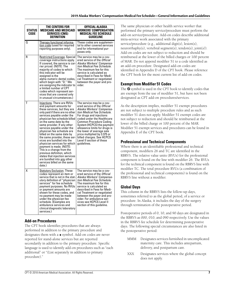| <b>STATUS</b><br>CODE | THE CENTERS FOR<br><b>MEDICARE AND MEDICAID</b><br><b>SERVICES (CMS)</b><br>DEFINITION                                                                                                                                                                                                                                                                                                                                                                                                                                                                                                                                                           | OFFICIAL ALASKA<br><b>WORKERS' COMPENSATION</b><br><b>MEDICAL FEE SCHEDULE</b><br>GUIDELINE                                                                                                                                                                                                                                                                                                                    |
|-----------------------|--------------------------------------------------------------------------------------------------------------------------------------------------------------------------------------------------------------------------------------------------------------------------------------------------------------------------------------------------------------------------------------------------------------------------------------------------------------------------------------------------------------------------------------------------------------------------------------------------------------------------------------------------|----------------------------------------------------------------------------------------------------------------------------------------------------------------------------------------------------------------------------------------------------------------------------------------------------------------------------------------------------------------------------------------------------------------|
| 0.                    | Therapy functional informa-<br><u>tion code</u> (used for required<br>reporting purposes only).                                                                                                                                                                                                                                                                                                                                                                                                                                                                                                                                                  | These codes are supplemen-<br>tal to other covered services<br>and for informational pur-<br>poses only.                                                                                                                                                                                                                                                                                                       |
| R                     | <u> Restricted Coverage</u> . Special<br>coverage instructions apply.<br>If covered, the service is car-<br>rier priced. (NOTE: The<br>majority of codes to which<br>this indicator will be<br>assigned is the<br>alpha-numeric dental codes,<br>which begin with "D." We<br>are assigning the indicator to<br>a limited number of CPT<br>codes which represent ser-<br>vices that are covered only<br>in unusual circumstances.)                                                                                                                                                                                                                | The service may be a cov-<br>ered service of the Official<br>Alaska Workers' Compensa-<br>tion Medical Fee Schedule.<br>The maximum fee for this<br>service is calculated as<br>described in Fees for Medi-<br>cal Treatment or negotiated<br>between the payer and pro-<br>vider.                                                                                                                             |
| Т                     | <b>Injections. There are RVUs</b><br>and payment amounts for<br>these services, but they are<br>only paid if there are no other<br>services payable under the<br>physician fee schedule billed<br>on the same date by the<br>same provider. If any other<br>services payable under the<br>physician fee schedule are<br>billed on the same date by<br>the same provider, these ser-<br>vices are bundled into the<br>physician services for which<br>payment is made. (NOTE:<br>This is a change from the<br>previous definition, which<br>states that injection services<br>are bundled into any other<br>services billed on the same<br>date.) | The service may be a cov-<br>ered service of the Official<br>Alaska Workers' Compensa-<br>tion Medical Fee Schedule.<br>For drugs and injections<br>coded under the Healthcare<br>Common Procedure Coding<br>System (HCPCS) the payment<br>allowance limits for drugs is<br>the lower of average sale<br>price multiplied by 3.375 or<br>billed charges. See HCPCS<br>Level II section of these<br>quidelines. |
| χ                     | <b>Statutory Exclusion</b> . These<br>codes represent an item or<br>service that is not in the stat-<br>utory definition of "physician<br>services" for fee schedule<br>payment purposes. No RVUs<br>or payment amounts are<br>shown for these codes, and<br>no payment may be made<br>under the physician fee<br>schedule. (Examples are<br>ambulance services and<br>clinical diagnostic laboratory<br>services.)                                                                                                                                                                                                                              | The service may be a cov-<br>ered service of the <i>Official</i><br>Alaska Workers' Compensa-<br>tion Medical Fee Schedule.<br>The maximum fee for this<br>service is calculated as<br>described in Fees for Medi-<br>cal Treatment or negotiated<br>between the payer and pro-<br>vider. For ambulance ser-<br>vices see HCPCS Level II<br>section of this guideline.                                         |

## **Add-on Procedures**

The CPT book identifies procedures that are always performed in addition to the primary procedure and designates them with a + symbol. Add-on codes are never reported for stand-alone services but are reported secondarily in addition to the primary procedure. Specific language is used to identify add-on procedures such as "each additional" or "(List separately in addition to primary procedure)."

The same physician or other health service worker that performed the primary service/procedure must perform the add-on service/procedure. Add-on codes describe additional intra-service work associated with the primary service/procedure (e.g., additional digit(s), lesion(s), neurorrhaphy(s), vertebral segment(s), tendon(s), joint(s)). Add-on codes are not subject to reduction and should be reimbursed at the lower of the billed charges or 100 percent of MAR. Do not append modifier 51 to a code identified as an add-on procedure. Designated add-on codes are identified in Appendix D of the CPT book. Please reference the CPT book for the most current list of add-on codes.

## **Exempt from Modifier 51 Codes**

The  $\odot$  symbol is used in the CPT book to identify codes that are exempt from the use of modifier 51, but have not been designated as CPT add-on procedures/services.

As the description implies, modifier 51 exempt procedures are not subject to multiple procedure rules and as such modifier 51 does not apply. Modifier 51 exempt codes are not subject to reduction and should be reimbursed at the lower of the billed charge or 100 percent of the MAR. Modifier 51 exempt services and procedures can be found in Appendix E of the CPT book.

## **Professional and Technical Components**

Where there is an identifiable professional and technical component, modifiers 26 and TC are identified in the RBRVS. The relative value units (RVUs) for the professional component is found on the line with modifier 26. The RVUs for the technical component is found on the RBRVS line with modifier TC. The total procedure RVUs (a combination of the professional and technical components) is found on the RBRVS line without a modifier.

## **Global Days**

This column in the RBRVS lists the follow-up days, sometimes referred to as the global period, of a service or procedure. In Alaska, it includes the day of the surgery through termination of the postoperative period.

Postoperative periods of 0, 10, and 90 days are designated in the RBRVS as 000, 010, and 090 respectively. Use the values in the RBRVS fee schedule for determining postoperative days. The following special circumstances are also listed in the postoperative period:

- MMM Designates services furnished in uncomplicated maternity care. This includes antepartum, delivery, and postpartum care.
- XXX Designates services where the global concept does not apply.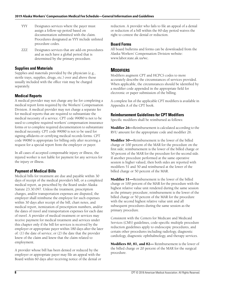- YYY Designates services where the payer must assign a follow-up period based on documentation submitted with the claim. Procedures designated as YYY include unlisted procedure codes.
- ZZZ Designates services that are add-on procedures and as such have a global period that is determined by the primary procedure.

## **Supplies and Materials**

Supplies and materials provided by the physician (e.g., sterile trays, supplies, drugs, etc.) over and above those usually included with the office visit may be charged separately.

## **Medical Reports**

A medical provider may not charge any fee for completing a medical report form required by the Workers' Compensation Division. A medical provider may not charge a separate fee for medical reports that are required to substantiate the medical necessity of a service. CPT code 99080 is not to be used to complete required workers' compensation insurance forms or to complete required documentation to substantiate medical necessity. CPT code 99080 is not to be used for signing affidavits or certifying medical records forms. CPT code 99080 is appropriate for billing only after receiving a request for a special report from the employer or payer.

In all cases of accepted compensable injury or illness, the injured worker is not liable for payment for any services for the injury or illness.

## **Payment of Medical Bills**

Medical bills for treatment are due and payable within 30 days of receipt of the medical provider's bill, or a completed medical report, as prescribed by the Board under Alaska Statute 23.30.097. Unless the treatment, prescription charges, and/or transportation expenses are disputed, the employer shall reimburse the employee for such expenses within 30 days after receipt of the bill, chart notes, and medical report, itemization of prescription numbers, and/or the dates of travel and transportation expenses for each date of travel. A provider of medical treatment or services may receive payment for medical treatment and services under this chapter only if the bill for services is received by the employer or appropriate payer within 180 days after the later of: (1) the date of service; or (2) the date that the provider knew of the claim and knew that the claim related to employment.

A provider whose bill has been denied or reduced by the employer or appropriate payer may file an appeal with the Board within 60 days after receiving notice of the denial or reduction. A provider who fails to file an appeal of a denial or reduction of a bill within the 60-day period waives the right to contest the denial or reduction.

## **Board Forms**

All board bulletins and forms can be downloaded from the Alaska Workers' Compensation Division website: www.labor.state.ak.us/wc.

# **MODIFIERS**

Modifiers augment CPT and HCPCS codes to more accurately describe the circumstances of services provided. When applicable, the circumstances should be identified by a modifier code appended in the appropriate field for electronic or paper submission of the billing.

A complete list of the applicable CPT modifiers is available in Appendix A of the CPT book.

## **Reimbursement Guidelines for CPT Modifiers**

Specific modifiers shall be reimbursed as follows:

**Modifier 26—**Reimbursement is calculated according to the RVU amount for the appropriate code and modifier 26.

**Modifier 50—**Reimbursement is the lower of the billed charge or 100 percent of the MAR for the procedure on the first side; reimbursement is the lower of the billed charge or 50 percent of the MAR for the procedure for the second side. If another procedure performed at the same operative session is higher valued, then both sides are reported with modifiers 51 and 50 and reimbursed at the lower of the billed charge or 50 percent of the MAR.

**Modifier 51—**Reimbursement is the lower of the billed charge or 100 percent of the MAR for the procedure with the highest relative value unit rendered during the same session as the primary procedure; reimbursement is the lower of the billed charge or 50 percent of the MAR for the procedure with the second highest relative value unit and all subsequent procedures during the same session as the primary procedure.

Consistent with the Centers for Medicare and Medicaid Services (CMS) guidelines, code-specific multiple procedure reduction guidelines apply to endoscopic procedures, and certain other procedures including radiology, diagnostic cardiology, diagnostic ophthalmology, and therapy services.

**Modifiers 80, 81, and 82—** Reimbursement is the lower of the billed charge or 20 percent of the MAR for the surgical procedure.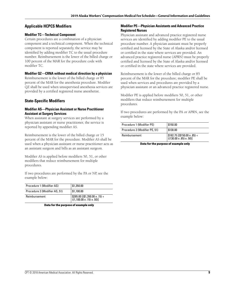#### **Applicable HCPCS Modifiers**

#### **Modifier TC—Technical Component**

Certain procedures are a combination of a physician component and a technical component. When the technical component is reported separately, the service may be identified by adding modifier TC to the usual procedure number. Reimbursement is the lower of the billed charge or 100 percent of the MAR for the procedure code with modifier TC.

#### **Modifier QZ—CRNA without medical direction by a physician**

Reimbursement is the lower of the billed charge or 85 percent of the MAR for the anesthesia procedure. Modifier QZ shall be used when unsupervised anesthesia services are provided by a certified registered nurse anesthetist.

#### **State-Specific Modifiers**

#### **Modifier AS—Physician Assistant or Nurse Practitioner Assistant at Surgery Services**

When assistant at surgery services are performed by a physician assistant or nurse practitioner, the service is reported by appending modifier AS.

Reimbursement is the lower of the billed charge or 15 percent of the MAR for the procedure. Modifier AS shall be used when a physician assistant or nurse practitioner acts as an assistant surgeon and bills as an assistant surgeon.

Modifier AS is applied before modifiers 50, 51, or other modifiers that reduce reimbursement for multiple procedures.

If two procedures are performed by the PA or NP, see the example below:

| Procedure 1 (Modifier AS)     | \$1,350.00                                                                                                                                              |
|-------------------------------|---------------------------------------------------------------------------------------------------------------------------------------------------------|
| Procedure 2 (Modifier AS, 51) | \$1,100.00                                                                                                                                              |
| Reimbursement                 | $\left[ \begin{array}{l} $285.00 \left[ ( $1,350.00 \times .15 \right) + \thinspace \right. \ ( (1,100.00 \times .15) \times .50 ) \end{array} \right]$ |

|  |  | Data for the purpose of example only |
|--|--|--------------------------------------|
|--|--|--------------------------------------|

#### **Modifier PE—Physician Assistants and Advanced Practice Registered Nurses**

Physician assistant and advanced practice registered nurse services are identified by adding modifier PE to the usual procedure number. A physician assistant must be properly certified and licensed by the State of Alaska and/or licensed or certified in the state where services are provided. An advanced practice registered nurse (APRN) must be properly certified and licensed by the State of Alaska and/or licensed or certified in the state where services are provided.

Reimbursement is the lower of the billed charge or 85 percent of the MAR for the procedure; modifier PE shall be used when services and procedures are provided by a physician assistant or an advanced practice registered nurse.

Modifier PE is applied before modifiers 50, 51, or other modifiers that reduce reimbursement for multiple procedures.

If two procedures are performed by the PA or APRN, see the example below:

| Procedure 1 (Modifier PE)     | \$150.00                                                                          |
|-------------------------------|-----------------------------------------------------------------------------------|
| Procedure 2 (Modifier PE, 51) | \$130.00                                                                          |
| Reimbursement                 | $\frac{1}{2}$ \$182.75 [(\$150.00 x .85) +<br>$((130.00 \times .85) \times .50)]$ |

**Data for the purpose of example only**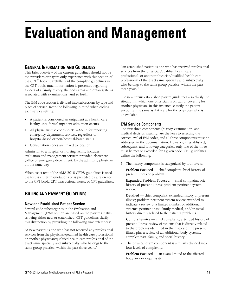# **Evaluation and Management**

# **GENERAL INFORMATION AND GUIDELINES**

This brief overview of the current guidelines should not be the provider's or payer's only experience with this section of the CPT® book. Carefully read the complete guidelines in the CPT book; much information is presented regarding aspects of a family history, the body areas and organ systems associated with examinations, and so forth.

The E/M code section is divided into subsections by type and place of service. Keep the following in mind when coding each service setting:

- A patient is considered an outpatient at a health care facility until formal inpatient admission occurs.
- All physicians use codes 99281–99285 for reporting emergency department services, regardless of hospital-based or non-hospital-based status.
- Consultation codes are linked to location.

Admission to a hospital or nursing facility includes evaluation and management services provided elsewhere (office or emergency department) by the admitting physician on the same day.

When exact text of the AMA 2018 CPT® guidelines is used, the text is either in quotations or is preceded by a reference to the CPT book, CPT instructional notes, or CPT guidelines.

# **BILLING AND PAYMENT GUIDELINES**

## **New and Established Patient Service**

Several code subcategories in the Evaluation and Management (E/M) section are based on the patient's status as being either new or established. CPT guidelines clarify this distinction by providing the following time references:

"A new patient is one who has not received any professional services from the physician/qualified health care professional or another physician/qualified health care professional of the exact same specialty and subspecialty who belongs to the same group practice, within the past three years."

"An established patient is one who has received professional services from the physician/qualified health care professional, or another physician/qualified health care professional of the exact same specialty and subspecialty who belongs to the same group practice, within the past three years."

The new versus established patient guidelines also clarify the situation in which one physician is on call or covering for another physician. In this instance, classify the patient encounter the same as if it were for the physician who is unavailable.

## **E/M Service Components**

The first three components (history, examination, and medical decision making) are the keys to selecting the correct level of E/M codes, and all three components must be addressed in the documentation. However, in established, subsequent, and followup categories, only two of the three must be met or exceeded for a given code. CPT guidelines define the following:

1. The history component is categorized by four levels:

**Problem Focused** — chief complaint; brief history of present illness or problem.

**Expanded Problem Focused** — chief complaint; brief history of present illness; problem-pertinent system review.

**Detailed** — chief complaint; extended history of present illness; problem-pertinent system review extended to indicate a review of a limited number of additional systems; pertinent past, family medical, and/or social history directly related to the patient's problems.

**Comprehensive** — chief complaint; extended history of present illness; review of systems that is directly related to the problems identified in the history of the present illness plus a review of all additional body systems; complete past, family, and social history.

2. The physical exam component is similarly divided into four levels of complexity:

**Problem Focused** — an exam limited to the affected body area or organ system.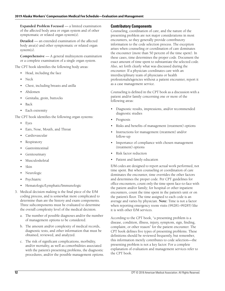**Expanded Problem Focused** — a limited examination of the affected body area or organ system and of other symptomatic or related organ system(s).

**Detailed** — an extended examination of the affected body area(s) and other symptomatic or related organ system(s).

**Comprehensive** — A general multisystem examination or a complete examination of a single organ system.

The CPT book identifies the following body areas:

- Head, including the face
- Neck
- Chest, including breasts and axilla
- Abdomen
- Genitalia, groin, buttocks
- Back
- Each extremity

The CPT book identifies the following organ systems:

- **Eyes**
- Ears, Nose, Mouth, and Throat
- Cardiovascular
- **Respiratory**
- **Gastrointestinal**
- **Genitourinary**
- **Musculoskeletal**
- Skin
- Neurologic
- **Psychiatric**
- Hematologic/Lymphatic/Immunologic
- 3. Medical decision making is the final piece of the E/M coding process, and is somewhat more complicated to determine than are the history and exam components. Three subcomponents must be evaluated to determine the overall complexity level of the medical decision.
	- a. The number of possible diagnoses and/or the number of management options to be considered.
	- b. The amount and/or complexity of medical records, diagnostic tests, and other information that must be obtained, reviewed, and analyzed.
	- c. The risk of significant complications, morbidity, and/or mortality, as well as comorbidities associated with the patient's presenting problems, the diagnostic procedures, and/or the possible management options.

## **Contributory Components**

Counseling, coordination of care, and the nature of the presenting problem are not major considerations in most encounters, so they generally provide contributory information to the code selection process. The exception arises when counseling or coordination of care dominates the encounter (more than 50 percent of the time spent). In these cases, time determines the proper code. Document the exact amount of time spent to substantiate the selected code. Also, set forth clearly what was discussed during the encounter. If a physician coordinates care with an interdisciplinary team of physicians or health professionals/agencies without a patient encounter, report it as a case management service.

Counseling is defined in the CPT book as a discussion with a patient and/or family concerning one or more of the following areas:

- Diagnostic results, impressions, and/or recommended diagnostic studies
- Prognosis
- Risks and benefits of management (treatment) options
- Instructions for management (treatment) and/or follow-up
- Importance of compliance with chosen management (treatment) options
- Risk factor reduction
- Patient and family education

E/M codes are designed to report actual work performed, not time spent. But when counseling or coordination of care dominates the encounter, time overrides the other factors and determines the proper code. Per CPT guidelines for office encounters, count only the time spent face-to-face with the patient and/or family; for hospital or other inpatient encounters, count the time spent in the patient's unit or on the patient's floor. The time assigned to each code is an average and varies by physician. **Note:** Time is not a factor when reporting emergency room visits (99281–99285) like it is with other E/M services.

According to the CPT book, "a presenting problem is a disease, condition, illness, injury, symptom, sign, finding, complaint, or other reason" for the patient encounter. The CPT book defines five types of presenting problems. These definitions should be reviewed frequently, but remember, this information merely contributes to code selection—the presenting problem is not a key factor. For a complete explanation of evaluation and management services refer to the CPT book.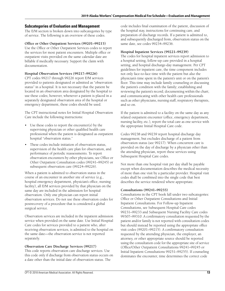#### **Subcategories of Evaluation and Management**

The E/M section is broken down into subcategories by type of service. The following is an overview of these codes.

#### **Office or Other Outpatient Services (99201–99215)**

Use the Office or Other Outpatient Services codes to report the services for most patient encounters. Multiple office or outpatient visits provided on the same calendar date are billable if medically necessary. Support the claim with documentation.

#### **Hospital Observation Services (99217–99226)**

CPT codes 99217 through 99226 report E/M services provided to patients designated or admitted as "observation status" in a hospital. It is not necessary that the patient be located in an observation area designated by the hospital to use these codes; however, whenever a patient is placed in a separately designated observation area of the hospital or emergency department, these codes should be used.

The CPT instructional notes for Initial Hospital Observation Care include the following instructions:

- Use these codes to report the encounter(s) by the supervising physician or other qualified health care professional when the patient is designated as outpatient hospital "observation status."
- These codes include initiation of observation status, supervision of the health care plan for observation, and performance of periodic reassessments. To report observation encounters by other physicians, see Office or Other Outpatient Consultation codes (99241–99245) or subsequent observation care (99224–99226).

When a patient is admitted to observation status in the course of an encounter in another site of service (e.g., hospital emergency department, physician's office, nursing facility), all E/M services provided by that physician on the same day are included in the admission for hospital observation. Only one physician can report initial observation services. Do not use these observation codes for postrecovery of a procedure that is considered a global surgical service.

Observation services are included in the inpatient admission service when provided on the same date. Use Initial Hospital Care codes for services provided to a patient who, after receiving observation services, is admitted to the hospital on the same date—the observation service is not reported separately.

#### **Observation Care Discharge Services (99217)**

This code reports observation care discharge services. Use this code only if discharge from observation status occurs on a date other than the initial date of observation status. The

code includes final examination of the patient, discussion of the hospital stay, instructions for continuing care, and preparation of discharge records. If a patient is admitted to, and subsequently discharged from, observation status on the same date, see codes 99234–99236.

#### **Hospital Inpatient Services (99221–99239)**

The codes for hospital inpatient services report admission to a hospital setting, follow-up care provided in a hospital setting, and hospital discharge-day management. Per CPT guidelines for inpatient care, the time component includes not only face-to-face time with the patient but also the physician's time spent in the patient's unit or on the patient's floor. This time may include family counseling or discussing the patient's condition with the family; establishing and reviewing the patient's record; documenting within the chart; and communicating with other health care professionals such as other physicians, nursing staff, respiratory therapists, and so on.

If the patient is admitted to a facility on the same day as any related outpatient encounter (office, emergency department, nursing facility, etc.), report the total care as one service with the appropriate Initial Hospital Care code.

Codes 99238 and 99239 report hospital discharge day management, but excludes discharge of a patient from observation status (see 99217). When concurrent care is provided on the day of discharge by a physician other than the attending physician, report these services using Subsequent Hospital Care codes.

Not more than one hospital visit per day shall be payable except when documentation describes the medical necessity of more than one visit by a particular provider. Hospital visit codes shall be combined into the single code that best describes the service rendered where appropriate.

#### **Consultations (99241–99255)**

Consultations in the CPT book fall under two subcategories: Office or Other Outpatient Consultations and Initial Inpatient Consultations. For Follow-up Inpatient Consultations, see Subsequent Hospital Care codes 99231–99233 and Subsequent Nursing Facility Care codes 99307–99310. A confirmatory consultation requested by the patient and/or family is not reported with consultation codes but should instead be reported using the appropriate office visit codes (99201–99215). A confirmatory consultation requested by the attending physician, the employer, an attorney, or other appropriate source should be reported using the consultation code for the appropriate site of service (Office/Other Outpatient Consultations 99241–99245 or Initial Inpatient Consultations 99251–99255). If counseling dominates the encounter, time determines the correct code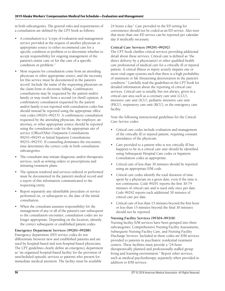in both subcategories. The general rules and requirements of a consultation are defined by the CPT book as follows:

- A consultation is a "a type of evaluation and management service provided at the request of another physician or appropriate source to either recommend care for a specific condition or problem or to determine whether to accept responsibility for ongoing management of the patient's entire care or for the care of a specific condition or problem."
- Most requests for consultation come from an attending physician or other appropriate source, and the necessity for this service must be documented in the patient's record. Include the name of the requesting physician on the claim form or electronic billing. Confirmatory consultations may be requested by the patient and/or family or may result from a second (or third) opinion. A confirmatory consultation requested by the patient and/or family is not reported with consultation codes but should instead be reported using the appropriate office visit codes (99201–99215). A confirmatory consultation requested by the attending physician, the employer, an attorney, or other appropriate source should be reported using the consultation code for the appropriate site of service (Office/Other Outpatient Consultations 99241–99245 or Initial Inpatient Consultations 99251–99255). If counseling dominates the encounter, time determines the correct code in both consultation subcategories.
- The consultant may initiate diagnostic and/or therapeutic services, such as writing orders or prescriptions and initiating treatment plans.
- The opinion rendered and services ordered or performed must be documented in the patient's medical record and a report of this information communicated to the requesting entity.
- Report separately any identifiable procedure or service performed on, or subsequent to, the date of the initial consultation.
- When the consultant assumes responsibility for the management of any or all of the patient's care subsequent to the consultation encounter, consultation codes are no longer appropriate. Depending on the location, identify the correct subsequent or established patient codes.

#### **Emergency Department Services (99281–99288)**

Emergency department (ED) service codes do not differentiate between new and established patients and are used by hospital-based and non-hospital-based physicians. The CPT guidelines clearly define an emergency department as "an organized hospital-based facility for the provision of unscheduled episodic services to patients who present for immediate medical attention. The facility must be available

24 hours a day." Care provided in the ED setting for convenience should not be coded as an ED service. Also note that more than one ED service can be reported per calendar day if medically necessary.

#### **Critical Care Services (99291–99292)**

The CPT book clarifies critical services providing additional detail about these services. Critical care is defined as "the direct delivery by a physician(s) or other qualified health care professional of medical care for a critically ill or injured patient. A critical illness or injury acutely impairs one or more vital organ systems such that there is a high probability of imminent or life threatening deterioration in the patient's condition." Carefully read the guidelines in the CPT book for detailed information about the reporting of critical care services. Critical care is usually, but not always, given in a critical care area such as a coronary care unit (CCU), intensive care unit (ICU), pediatric intensive care unit (PICU), respiratory care unit (RCU)*,* or the emergency care facility.

Note the following instructional guidelines for the Critical Care Service codes:

- Critical care codes include evaluation and management of the critically ill or injured patient, requiring constant attendance of the physician.
- Care provided to a patient who is not critically ill but happens to be in a critical care unit should be identified using Subsequent Hospital Care codes or Inpatient Consultation codes as appropriate.
- Critical care of less than 30 minutes should be reported using an appropriate E/M code.
- Critical care codes identify the total duration of time spent by a physician on a given date, even if the time is not continuous. Code 99291 reports the first 30-74 minutes of critical care and is used only once per date. Code 99292 reports each additional 30 minutes of critical care per date.
- Critical care of less than 15 minutes beyond the first hour or less than 15 minutes beyond the final 30 minutes should not be reported.

#### **Nursing Facility Services (99304–99318)**

Nursing facility E/M services have been grouped into three subcategories: Comprehensive Nursing Facility Assessments, Subsequent Nursing Facility Care, and Nursing Facility Discharge Services. Included in these codes are E/M services provided to patients in psychiatric residential treatment centers. These facilities must provide a "24-hour therapeutically planned and professionally staffed group living and learning environment." Report other services, such as medical psychotherapy, separately when provided in addition to E/M services.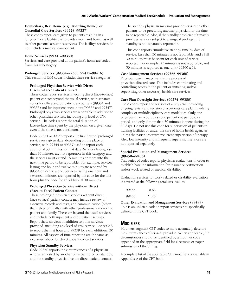#### **Domiciliary, Rest Home (e.g., Boarding Home), or Custodial Care Services (99324–99337)**

These codes report care given to patients residing in a long-term care facility that provides room and board, as well as other personal assistance services. The facility's services do not include a medical component.

#### **Home Services (99341–99350)**

Services and care provided at the patient's home are coded from this subcategory.

#### **Prolonged Services (99354–99360, 99415–99416)**

This section of E/M codes includes three service categories:

#### **Prolonged Physician Service with Direct (Face-to-Face) Patient Contact**

These codes report services involving direct (face-to-face) patient contact beyond the usual service, with separate codes for office and outpatient encounters (99354 and 99355) and for inpatient encounters (99356 and 99357). Prolonged physician services are reportable in addition to other physician services, including any level of E/M service. The codes report the total duration of face-to-face time spent by the physician on a given date, even if the time is not continuous.

Code 99354 or 99356 reports the first hour of prolonged service on a given date, depending on the place of service, with 99355 or 99357 used to report each additional 30 minutes for that date. Services lasting less than 30 minutes are not reportable in this category, and the services must extend 15 minutes or more into the next time period to be reportable. For example, services lasting one hour and twelve minutes are reported by 99354 or 99356 alone. Services lasting one hour and seventeen minutes are reported by the code for the first hour plus the code for an additional 30 minutes.

#### **Prolonged Physician Service without Direct (Face-to-Face) Patient Contact**

These prolonged physician services without direct (face-to-face) patient contact may include review of extensive records and tests, and communication (other than telephone calls) with other professionals and/or the patient and family. These are beyond the usual services and include both inpatient and outpatient settings. Report these services in addition to other services provided, including any level of E/M service. Use 99358 to report the first hour and 99359 for each additional 30 minutes. All aspects of time reporting are the same as explained above for direct patient contact services.

#### **Physician Standby Services**

Code 99360 reports the circumstances of a physician who is requested by another physician to be on standby, and the standby physician has no direct patient contact.

The standby physician may not provide services to other patients or be proctoring another physician for the time to be reportable. Also, if the standby physician ultimately provides services subject to a surgical package, the standby is not separately reportable.

This code reports cumulative standby time by date of service. Less than 30 minutes is not reportable, and a full 30 minutes must be spent for each unit of service reported. For example, 25 minutes is not reportable, and 50 minutes is reported as one unit (99360 x 1).

#### **Case Management Services (99366–99368)**

Physician case management is the process of physician-directed care. This includes coordinating and controlling access to the patient or initiating and/or supervising other necessary health care services.

#### **Care Plan Oversight Services (99374–99380)**

These codes report the services of a physician providing ongoing review and revision of a patient's care plan involving complex or multidisciplinary care modalities. Only one physician may report this code per patient per 30-day period, and only if more than 30 minutes is spent during the 30 days. Do not use this code for supervision of patients in nursing facilities or under the care of home health agencies unless the patient requires recurrent supervision of therapy. Also, low intensity and infrequent supervision services are not reported separately.

#### **Special Evaluation and Management Services (99450–99456)**

This series of codes reports physician evaluations in order to establish baseline information for insurance certification and/or work related or medical disability.

Evaluation services for work related or disability evaluation is covered at the following total RVU values:

| 99455 | 10.63 |
|-------|-------|
| 99456 | 21.25 |

defined in the CPT book.

**Other Evaluation and Management Services (99499)** This is an unlisted code to report services not specifically

## **MODIFIERS**

Modifiers augment CPT codes to more accurately describe the circumstances of services provided. When applicable, the circumstances should be identified by a modifier code appended in the appropriate field for electronic or paper submission of the billing.

A complete list of the applicable CPT modifiers is available in Appendix A of the CPT book.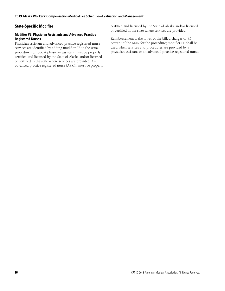## **State-Specific Modifier**

#### **Modifier PE: Physician Assistants and Advanced Practice Registered Nurses**

Physician assistant and advanced practice registered nurse services are identified by adding modifier PE to the usual procedure number. A physician assistant must be properly certified and licensed by the State of Alaska and/or licensed or certified in the state where services are provided. An advanced practice registered nurse (APRN) must be properly certified and licensed by the State of Alaska and/or licensed or certified in the state where services are provided.

Reimbursement is the lower of the billed charges or 85 percent of the MAR for the procedure; modifier PE shall be used when services and procedures are provided by a physician assistant or an advanced practice registered nurse.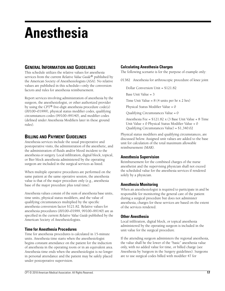# **Anesthesia**

# **GENERAL INFORMATION AND GUIDELINES**

This schedule utilizes the relative values for anesthesia services from the current *Relative Value Guide*® published by the American Society of Anesthesiologists (ASA). No relative values are published in this schedule—only the conversion factors and rules for anesthesia reimbursement.

Report services involving administration of anesthesia by the surgeon, the anesthesiologist, or other authorized provider by using the CPT® five-digit anesthesia procedure code(s) (00100–01999), physical status modifier codes, qualifying circumstances codes (99100–99140), and modifier codes (defined under Anesthesia Modifiers later in these ground rules).

## **BILLING AND PAYMENT GUIDELINES**

Anesthesia services include the usual preoperative and postoperative visits, the administration of the anesthetic, and the administration of fluids and/or blood incident to the anesthesia or surgery. Local infiltration, digital block, topical, or Bier block anesthesia administered by the operating surgeon are included in the surgical services as listed.

When multiple operative procedures are performed on the same patient at the same operative session, the anesthesia value is that of the major procedure only (e.g., anesthesia base of the major procedure plus total time).

Anesthesia values consist of the sum of anesthesia base units, time units, physical status modifiers, and the value of qualifying circumstances multiplied by the specific anesthesia conversion factor \$121.82. Relative values for anesthesia procedures (00100–01999, 99100–99140) are as specified in the current *Relative Value Guide* published by the American Society of Anesthesiologists.

## **Time for Anesthesia Procedures**

Time for anesthesia procedures is calculated in 15-minute units. Anesthesia time starts when the anesthesiologist begins constant attendance on the patient for the induction of anesthesia in the operating room or in an equivalent area. Anesthesia time ends when the anesthesiologist is no longer in personal attendance and the patient may be safely placed under postoperative supervision.

## **Calculating Anesthesia Charges**

The following scenario is for the purpose of example only:

01382 Anesthesia for arthroscopic procedure of knee joint

Dollar Conversion Unit = \$121.82

Base Unit Value = 3

Time Unit Value =  $8(4 \text{ units per hr x } 2 \text{ hrs})$ 

Physical Status Modifier Value = 0

Qualifying Circumstances Value = 0

Anesthesia Fee = \$121.82 x (3 Base Unit Value + 8 Time Unit Value + 0 Physical Status Modifier Value + 0 Qualifying Circumstances Value) = \$1,340.02

Physical status modifiers and qualifying circumstances, are discussed below. Assigned unit values are added to the base unit for calculation of the total maximum allowable reimbursement (MAR).

## **Anesthesia Supervision**

Reimbursement for the combined charges of the nurse anesthetist and the supervising physician shall not exceed the scheduled value for the anesthesia services if rendered solely by a physician.

## **Anesthesia Monitoring**

When an anesthesiologist is required to participate in and be responsible for monitoring the general care of the patient during a surgical procedure but does not administer anesthesia, charges for these services are based on the extent of the services rendered.

## **Other Anesthesia**

Local infiltration, digital block, or topical anesthesia administered by the operating surgeon is included in the unit value for the surgical procedure.

If the attending surgeon administers the regional anesthesia, the value shall be the lower of the "basic" anesthesia value only, with no added value for time, or billed charge (see Anesthesia by Surgeon in the Surgery guidelines). Surgeons are to use surgical codes billed with modifier 47 for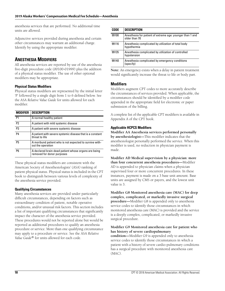anesthesia services that are performed. No additional time units are allowed.

Adjunctive services provided during anesthesia and certain other circumstances may warrant an additional charge. Identify by using the appropriate modifier.

# **ANESTHESIA MODIFIERS**

All anesthesia services are reported by use of the anesthesia five-digit procedure code (00100-01999) plus the addition of a physical status modifier. The use of other optional modifiers may be appropriate.

#### **Physical Status Modifiers**

Physical status modifiers are represented by the initial letter 'P' followed by a single digit from 1 to 6 defined below. See the ASA *Relative Value Guide* for units allowed for each modifier.

| <b>MODIFIER</b> | <b>DESCRIPTION</b>                                                                 |
|-----------------|------------------------------------------------------------------------------------|
| P <sub>1</sub>  | A normal healthy patient                                                           |
| P <sub>2</sub>  | A patient with mild systemic disease                                               |
| P <sub>3</sub>  | A patient with severe systemic disease                                             |
| P <sub>4</sub>  | A patient with severe systemic disease that is a constant<br>threat to life        |
| P <sub>5</sub>  | A moribund patient who is not expected to survive with-<br>out the operation       |
| P6              | A declared brain-dead patient whose organs are being<br>removed for donor purposes |

These physical status modifiers are consistent with the American Society of Anesthesiologists' (ASA) ranking of patient physical status. Physical status is included in the CPT book to distinguish between various levels of complexity of the anesthesia service provided.

#### **Qualifying Circumstances**

Many anesthesia services are provided under particularly difficult circumstances, depending on factors such as extraordinary condition of patient, notable operative conditions, and/or unusual risk factors. This section includes a list of important qualifying circumstances that significantly impact the character of the anesthesia service provided. These procedures would not be reported alone but would be reported as additional procedures to qualify an anesthesia procedure or service. More than one qualifying circumstance may apply to a procedure or service. See the ASA *Relative Value Guide®* for units allowed for each code.

| <b>CODE</b> | <b>DESCRIPTION</b>                                                         |
|-------------|----------------------------------------------------------------------------|
| 99100       | Anesthesia for patient of extreme age: younger than 1 and<br>older than 70 |
| 99116       | Anesthesia complicated by utilization of total body<br>hypothermia         |
| 99135       | Anesthesia complicated by utilization of controlled<br>hypotension         |
| 99140       | Anesthesia complicated by emergency conditions<br>(specify)                |

**Note:** An emergency exists when a delay in patient treatment would significantly increase the threat to life or body part.

## **Modifiers**

Modifiers augment CPT codes to more accurately describe the circumstances of services provided. When applicable, the circumstances should be identified by a modifier code appended in the appropriate field for electronic or paper submission of the billing.

A complete list of the applicable CPT modifiers is available in Appendix A of the CPT book.

#### **Applicable HCPCS Modifiers**

**Modifier AA Anesthesia services performed personally by anesthesiologist—**This modifier indicates that the anesthesiologist personally performed the service. When this modifier is used, no reduction in physician payment is made.

**Modifier AD Medical supervision by a physician: more than four concurrent anesthesia procedures—**Modifier AD is appended to physician claims when a physician supervised four or more concurrent procedures. In these instances, payment is made on a 3 base unit amount. Base units are assigned by CMS or payers, and the lowest unit value is 3.

**Modifier G8 Monitored anesthesia care (MAC) for deep complex, complicated, or markedly invasive surgical procedure—**Modifier G8 is appended only to anesthesia service codes to identify those circumstances in which monitored anesthesia care (MAC) is provided and the service is a deeply complex, complicated, or markedly invasive surgical procedure.

#### **Modifier G9 Monitored anesthesia care for patient who has history of severe cardiopulmonary**

**condition—**Modifier G9 is appended only to anesthesia service codes to identify those circumstances in which a patient with a history of severe cardio-pulmonary conditions has a surgical procedure with monitored anesthesia care (MAC).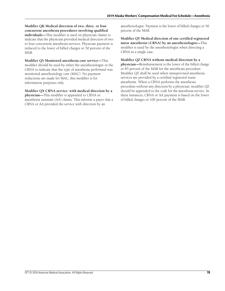**Modifier QK Medical direction of two, three, or four concurrent anesthesia procedures involving qualified individuals—**This modifier is used on physician claims to indicate that the physician provided medical direction of two to four concurrent anesthesia services. Physician payment is reduced to the lower of billed charges or 50 percent of the MAR.

**Modifier QS Monitored anesthesia care service—**This modifier should be used by either the anesthesiologist or the CRNA to indicate that the type of anesthesia performed was monitored anesthesiology care (MAC). No payment reductions are made for MAC; this modifier is for information purposes only.

**Modifier QX CRNA service: with medical direction by a physician—**This modifier is appended to CRNA or anesthetist assistant (AA) claims. This informs a payer that a CRNA or AA provided the service with direction by an

anesthesiologist. Payment is the lower of billed charges or 50 percent of the MAR.

**Modifier QY Medical direction of one certified registered nurse anesthetist (CRNA) by an anesthesiologist—**This modifier is used by the anesthesiologist when directing a CRNA in a single case.

**Modifier QZ CRNA without medical direction by a physician—**Reimbursement is the lower of the billed charge or 85 percent of the MAR for the anesthesia procedure. Modifier QZ shall be used when unsupervised anesthesia services are provided by a certified registered nurse anesthetist. When a CRNA performs the anesthesia procedure without any direction by a physician, modifier QZ should be appended to the code for the anesthesia service. In these instances, CRNA or AA payment is based on the lower of billed charges or 100 percent of the MAR.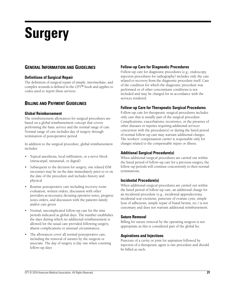# **Surgery**

# **GENERAL INFORMATION AND GUIDELINES**

## **Definitions of Surgical Repair**

The definition of surgical repair of simple, intermediate, and complex wounds is defined in the CPT® book and applies to codes used to report these services.

## **BILLING AND PAYMENT GUIDELINES**

#### **Global Reimbursement**

The reimbursement allowances for surgical procedures are based on a global reimbursement concept that covers performing the basic service and the normal range of care. Normal range of care includes day of surgery through termination of postoperative period.

In addition to the surgical procedure, global reimbursement includes:

- Topical anesthesia, local infiltration, or a nerve block (metacarpal, metatarsal, or digital)
- Subsequent to the decision for surgery, one related E/M encounter may be on the date immediately prior to or on the date of the procedure and includes history and physical
- Routine postoperative care including recovery room evaluation, written orders, discussion with other providers as necessary, dictating operative notes, progress notes orders, and discussion with the patient's family and/or care givers
- Normal, uncomplicated follow-up care for the time periods indicated as global days. The number establishes the days during which no additional reimbursement is allowed for the usual care provided following surgery, absent complications or unusual circumstances
- The allowances cover all normal postoperative care, including the removal of sutures by the surgeon or associate. The day of surgery is day one when counting follow-up days

## **Follow-up Care for Diagnostic Procedures**

Follow-up care for diagnostic procedures (e.g., endoscopy, injection procedures for radiography) includes only the care related to recovery from the diagnostic procedure itself. Care of the condition for which the diagnostic procedure was performed or of other concomitant conditions is not included and may be charged for in accordance with the services rendered.

## **Follow-up Care for Therapeutic Surgical Procedures**

Follow-up care for therapeutic surgical procedures includes only care that is usually part of the surgical procedure. Complications, exacerbations, recurrence, or the presence of other diseases or injuries requiring additional services concurrent with the procedure(s) or during the listed period of normal follow-up care may warrant additional charges. The workers' compensation carrier is responsible only for charges related to the compensable injury or illness.

## **Additional Surgical Procedure(s)**

When additional surgical procedures are carried out within the listed period of follow-up care for a previous surgery, the follow-up periods will continue concurrently to their normal terminations.

#### **Incidental Procedure(s)**

When additional surgical procedures are carried out within the listed period of follow-up care, an additional charge for an incidental procedure (e.g., incidental appendectomy, incidental scar excisions, puncture of ovarian cysts, simple lysis of adhesions, simple repair of hiatal hernia, etc.) is not customary and does not warrant additional reimbursement.

#### **Suture Removal**

Billing for suture removal by the operating surgeon is not appropriate as this is considered part of the global fee.

## **Aspirations and Injections**

Puncture of a cavity or joint for aspiration followed by injection of a therapeutic agent is one procedure and should be billed as such.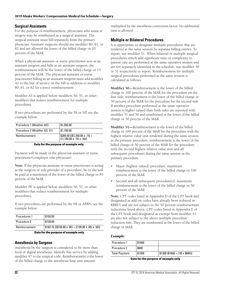#### **Surgical Assistants**

For the purpose of reimbursement, physicians who assist at surgery may be reimbursed as a surgical assistant. The surgical assistant must bill separately from the primary physician. Assistant surgeons should use modifier 80, 81, or 82 and are allowed the lower of the billed charge or 20 percent of the MAR.

When a physician assistant or nurse practitioner acts as an assistant surgeon and bills as an assistant surgeon, the reimbursement will be the lower of the billed charge or 15 percent of the MAR. The physician assistant or nurse practitioner billing as an assistant surgeon must add modifier AS to the line of service on the bill in addition to modifier 80, 81, or 82 for correct reimbursement.

Modifier AS is applied before modifiers 50, 51, or other modifiers that reduce reimbursement for multiple procedures.

If two procedures are performed by the PA or NP, see the example below:

| Procedure 1 (Modifier AS)     | \$1,350.00                                                                                                                    |
|-------------------------------|-------------------------------------------------------------------------------------------------------------------------------|
| Procedure 2 (Modifier AS, 51) | \$1,100.00                                                                                                                    |
| Reimbursement                 | $\left[ \begin{array}{l} $285.00 \;[(\$1,350.00 \times .15) + \\ \{ (1,100.00 \times .15) \times .50) \} \end{array} \right]$ |

#### **Data for the purpose of example only**

Payment will be made to the physician assistant or nurse practitioner's employer (the physician).

**Note:** If the physician assistant or nurse practitioner is acting as the surgeon or sole provider of a procedure, he or she will be paid at a maximum of the lower of the billed charge or 85 percent of the MAR.

Modifier PE is applied before modifiers 50, 51, or other modifiers that reduce reimbursement for multiple procedures.

If two procedures are performed by the PA or APRN, see the example below:

| Procedures 1  | \$150.00                                              |
|---------------|-------------------------------------------------------|
| Procedure 2   | \$130.00                                              |
| Reimbursement | $$182.75$ [(\$150.00 x .85) + ((130.00 x .85) x .50)] |

#### **Data for the purpose of example only**

#### **Anesthesia by Surgeon**

Anesthesia by the surgeon is considered to be more than local or digital anesthesia. Identify this service by adding modifier 47 to the surgical code. Reimbursement is the lower of the billed charge or the anesthesia base unit amount

multiplied by the anesthesia conversion factor. No additional time is allowed.

#### **Multiple or Bilateral Procedures**

It is appropriate to designate multiple procedures that are rendered at the same session by separate billing entries. To report, use modifier 51. When bilateral or multiple surgical procedures which add significant time or complexity to patient care are performed at the same operative session and are not separately identified in the schedule, use modifier 50 or 51 respectively to report. Reimbursement for multiple surgical procedures performed at the same session is calculated as follows:

**Modifier 50**—Reimbursement is the lower of the billed charge or 100 percent of the MAR for the procedure on the first side; reimbursement is the lower of the billed charge or 50 percent of the MAR for the procedure for the second side. If another procedure performed at the same operative session is higher valued then both sides are reported with modifier 51 and 50 and reimbursed at the lower of the billed charge or 50 percent of the MAR.

**Modifier 51—**Reimbursement is the lower of the billed charge or 100 percent of the MAR for the procedure with the highest relative value unit rendered during the same session as the primary procedure; reimbursement is the lower of the billed charge or 50 percent of the MAR for the procedure with the second highest relative value unit and all subsequent procedures during the same session as the primary procedure.

- Major (highest valued) procedure: maximum reimbursement is the lower of the billed charge or 100 percent of the MAR
- Second and all subsequent procedure(s): maximum reimbursement is the lower of the billed charge or 50 percent of the MAR

**Note:** CPT codes listed in Appendix D of the CPT book and designated as add-on codes have already been reduced in RBRVS and are not subject to the 50 percent reimbursement reductions listed above. CPT codes listed in Appendix E of the CPT book and designated as exempt from modifier 51 are also not subject to the above multiple procedure reduction rule. They are reimbursed at the lower of the billed charge or MAR.

#### *Example:*

| Procedure 1          | \$1000 |                                         |
|----------------------|--------|-----------------------------------------|
| Procedure 2          | \$600  |                                         |
| <b>Total Payment</b> | \$1300 | $\vert$ \$1300 (\$1000 + (.50 x \$600)) |

**Data for the purpose of example only**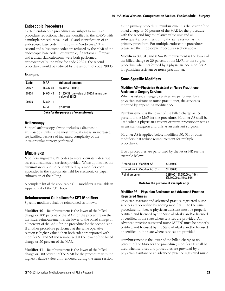## **Endoscopic Procedures**

Certain endoscopic procedures are subject to multiple procedure reductions. They are identified in the RBRVS with a multiple procedure value of "3" and identification of an endoscopic base code in the column "endo base." The second and subsequent codes are reduced by the MAR of the endoscopic base code. For example, if a rotator cuff repair and a distal claviculectomy were both performed arthroscopically, the value for code 29824, the second procedure, would be reduced by the amount of code 29805.

#### *Example:*

| Code  | <b>MAR</b> | <b>Adjusted amount</b>                                      |
|-------|------------|-------------------------------------------------------------|
| 29827 | \$6,412.49 | \$6,412.49 (100%)                                           |
| 29824 | \$4,004.43 | \$1,200.32 (the value of 29824 minus the<br>value of 29805) |
| 29805 | \$2,804.11 |                                                             |
|       | Total      | \$7,612.81                                                  |

**Data for the purpose of example only**

## **Arthroscopy**

Surgical arthroscopy always includes a diagnostic arthroscopy. Only in the most unusual case is an increased fee justified because of increased complexity of the intra-articular surgery performed.

# **MODIFIERS**

Modifiers augment CPT codes to more accurately describe the circumstances of services provided. When applicable, the circumstances should be identified by a modifier code appended in the appropriate field for electronic or paper submission of the billing.

A complete list of the applicable CPT modifiers is available in Appendix A of the CPT book.

## **Reimbursement Guidelines for CPT Modifiers**

Specific modifiers shall be reimbursed as follows:

**Modifier 50—**Reimbursement is the lower of the billed charge or 100 percent of the MAR for the procedure on the first side; reimbursement is the lower of the billed charge or 50 percent of the MAR for the procedure for the second side. If another procedure performed at the same operative session is higher valued then both sides are reported with modifier 51 and 50 and reimbursed at the lower of the billed charge or 50 percent of the MAR.

**Modifier 51—**Reimbursement is the lower of the billed charge or 100 percent of the MAR for the procedure with the highest relative value unit rendered during the same session

as the primary procedure; reimbursement is the lower of the billed charge or 50 percent of the MAR for the procedure with the second highest relative value unit and all subsequent procedures during the same session as the primary procedure. For multiple endoscopic procedures please see the Endoscopic Procedures section above.

**Modifiers 80, 81, and 82—** Reimbursement is the lower of the billed charge or 20 percent of the MAR for the surgical procedure when performed by a physician. See modifier AS for physician assistant or nurse practitioner.

## **State-Specific Modifiers**

#### **Modifier AS—Physician Assistant or Nurse Practitioner Assistant at Surgery Services**

When assistant at surgery services are performed by a physician assistant or nurse practitioner, the service is reported by appending modifier AS.

Reimbursement is the lower of the billed charge or 15 percent of the MAR for the procedure. Modifier AS shall be used when a physician assistant or nurse practitioner acts as an assistant surgeon and bills as an assistant surgeon.

Modifier AS is applied before modifiers 50, 51, or other modifiers that reduce reimbursement for multiple procedures.

If two procedures are performed by the PA or NP, see the example below:

| Procedure 1 (Modifier AS)     | \$1,350.00                                         |
|-------------------------------|----------------------------------------------------|
| Procedure 2 (Modifier AS, 51) | \$1,100.00                                         |
| Reimbursement                 | $\frac{285.00}{(1,100.00 \times .15) \times .50)}$ |

**Data for the purpose of example only**

#### **Modifier PE—Physician Assistants and Advanced Practice Registered Nurses**

Physician assistant and advanced practice registered nurse services are identified by adding modifier PE to the usual procedure number. A physician assistant must be properly certified and licensed by the State of Alaska and/or licensed or certified in the state where services are provided. An advanced practice registered nurse (APRN) must be properly certified and licensed by the State of Alaska and/or licensed or certified in the state where services are provided.

Reimbursement is the lower of the billed charge or 85 percent of the MAR for the procedure; modifier PE shall be used when services and procedures are provided by a physician assistant or an advanced practice registered nurse.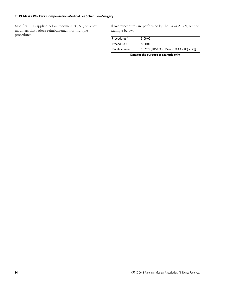Modifier PE is applied before modifiers 50, 51, or other modifiers that reduce reimbursement for multiple procedures.

If two procedures are performed by the PA or APRN, see the example below:

| Procedures 1  | \$150.00                                              |
|---------------|-------------------------------------------------------|
| Procedure 2   | \$130.00                                              |
| Reimbursement | $$182.75$ [(\$150.00 x .85) + ((130.00 x .85) x .50)] |

**Data for the purpose of example only**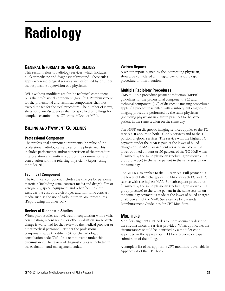# **Radiology**

# **GENERAL INFORMATION AND GUIDELINES**

This section refers to radiology services, which includes nuclear medicine and diagnostic ultrasound. These rules apply when radiological services are performed by or under the responsible supervision of a physician.

RVUs without modifiers are for the technical component plus the professional component (total fee). Reimbursement for the professional and technical components shall not exceed the fee for the total procedure. The number of views, slices, or planes/sequences shall be specified on billings for complete examinations, CT scans, MRAs, or MRIs.

# **BILLING AND PAYMENT GUIDELINES**

## **Professional Component**

The professional component represents the value of the professional radiological services of the physician. This includes performance and/or supervision of the procedure interpretation and written report of the examination and consultation with the referring physician. (Report using modifier 26.)

## **Technical Component**

The technical component includes the charges for personnel, materials (including usual contrast media and drugs), film or xerography, space, equipment and other facilities, but excludes the cost of radioisotopes and non-ionic contrast media such as the use of gadolinium in MRI procedures. (Report using modifier TC.)

## **Review of Diagnostic Studies**

When prior studies are reviewed in conjunction with a visit, consultation, record review, or other evaluation, no separate charge is warranted for the review by the medical provider or other medical personnel. Neither the professional component value (modifier 26) nor the radiologic consultation code (76140) is reimbursable under this circumstance. The review of diagnostic tests is included in the evaluation and management codes.

## **Written Reports**

A written report, signed by the interpreting physician, should be considered an integral part of a radiologic procedure or interpretation.

## **Multiple Radiology Procedures**

CMS multiple procedure payment reduction (MPPR) guidelines for the professional component (PC) and technical component (TC) of diagnostic imaging procedures apply if a procedure is billed with a subsequent diagnostic imaging procedure performed by the same physician (including physicians in a group practice) to the same patient in the same session on the same day.

The MPPR on diagnostic imaging services applies to the TC services. It applies to both TC-only services and to the TC portion of global services. The service with the highest TC payment under the MAR is paid at the lower of billed charges or the MAR, subsequent services are paid at the lower of billed amount or 50 percent of the TC MAR when furnished by the same physician (including physicians in a group practice) to the same patient in the same session on the same day.

The MPPR also applies to the PC services. Full payment is the lower of billed charges or the MAR for each PC and TC service with the highest MAR. For subsequent procedures furnished by the same physician (including physicians in a group practice) to the same patient in the same session on the same day payment is made at the lower of billed charges or 95 percent of the MAR. See example below under Reimbursement Guidelines for CPT Modifiers.

# **MODIFIERS**

Modifiers augment CPT codes to more accurately describe the circumstances of services provided. When applicable, the circumstances should be identified by a modifier code appended in the appropriate field for electronic or paper submission of the billing.

A complete list of the applicable CPT modifiers is available in Appendix A of the CPT book.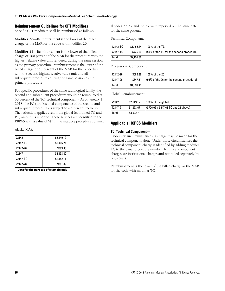#### **Reimbursement Guidelines for CPT Modifiers**

Specific CPT modifiers shall be reimbursed as follows:

**Modifier 26—**Reimbursement is the lower of the billed charge or the MAR for the code with modifier 26.

**Modifier 51—**Reimbursement is the lower of the billed charge or 100 percent of the MAR for the procedure with the highest relative value unit rendered during the same session as the primary procedure; reimbursement is the lower of the billed charge or 50 percent of the MAR for the procedure with the second highest relative value unit and all subsequent procedures during the same session as the primary procedure.

For specific procedures of the same radiological family, the second and subsequent procedures would be reimbursed at 50 percent of the TC (technical component). As of January 1, 2018, the PC (professional component) of the second and subsequent procedures is subject to a 5 percent reduction. The reduction applies even if the global (combined TC and PC) amount is reported. These services are identified in the RBRVS with a value of "4" in the multiple procedure column.

Alaska MAR:

| 72142    | \$2,149.12 |
|----------|------------|
| 72142-TC | \$1,465.24 |
| 72142-26 | \$683.88   |
| 72147    | \$2,133.80 |
| 72147-TC | \$1,452.11 |
| 72147-26 | \$681.69   |
|          |            |

**Data for the purpose of example only**

If codes 72142 and 72147 were reported on the same date for the same patient:

Technical Component:

| 72142-TC | \$1,465.24 | 100% of the TC                           |
|----------|------------|------------------------------------------|
| 72147-TC | \$726.06   | (50% of the TC for the second procedure) |
| Total    | \$2,191.30 |                                          |

Professional Component:

| 72142-26 | \$683.88   | 100% of the 26                           |
|----------|------------|------------------------------------------|
| 72147-26 | \$647.61   | (95% of the 26 for the second procedure) |
| Total    | \$1,331.49 |                                          |

Global Reimbursement:

| 72142    | \$2,149.12 | 100% of the global                       |
|----------|------------|------------------------------------------|
| 72147-51 | \$1,373.67 | $($ \$726.06 + \$647.61 TC and 26 above) |
| Total    | \$3,522.79 |                                          |

#### **Applicable HCPCS Modifiers**

#### **TC Technical Component—**

Under certain circumstances, a charge may be made for the technical component alone. Under those circumstances the technical component charge is identified by adding modifier TC to the usual procedure number. Technical component charges are institutional charges and not billed separately by physicians.

Reimbursement is the lower of the billed charge or the MAR for the code with modifier TC.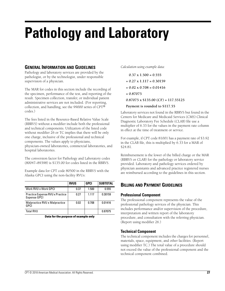# **Pathology and Laboratory**

## **GENERAL INFORMATION AND GUIDELINES**

Pathology and laboratory services are provided by the pathologist, or by the technologist, under responsible supervision of a physician.

The MAR for codes in this section include the recording of the specimen, performance of the test, and reporting of the result. Specimen collection, transfer, or individual patient administrative services are not included. (For reporting, collection, and handling, see the 99000 series of CPT® codes.)

The fees listed in the Resource-Based Relative Value Scale (RBRVS) without a modifier include both the professional and technical components. Utilization of the listed code without modifier 26 or TC implies that there will be only one charge, inclusive of the professional and technical components. The values apply to physicians, physician-owned laboratories, commercial laboratories, and hospital laboratories.

The conversion factor for Pathology and Laboratory codes (80047–89398) is \$135.00 for codes listed in the RBRVS.

Example data for CPT code 80500 in the RBRVS with the Alaska GPCI using the non-facility RVUs:

|                                                               | <b>RVUS</b> | <b>GPCI</b> | <b>SUBTOTAL</b> |
|---------------------------------------------------------------|-------------|-------------|-----------------|
| Work RVU x Work GPCI                                          | 0.37        | 1.500       | 0.555           |
| <b>Practice Expense RVU x Practice</b><br><b>Expense GPCI</b> | 0.27        | 1.117       | 0.30159         |
| Malpractice RVU x Malpractice<br>GPCI                         | 0.02        | 0.708       | 0.01416         |
| <b>Total RVU</b>                                              |             |             | 0.87075         |

**Data for the purpose of example only**

*Calculation using example data:*

 **0.37 x 1.500 = 0.555**

- **+ 0.27 x 1.117 = 0.30159**
- **+ 0.02 x 0.708 = 0.01416**
- **= 0.87075**

**0.87075 x \$135.00 (CF) = 117.55125**

#### **Payment is rounded to \$117.55**

Laboratory services not found in the RBRVS but found in the Centers for Medicare and Medicaid Services (CMS) Clinical Diagnostic Laboratory Fee Schedule (CLAB) file use a multiplier of 6.33 for the values in the payment rate column in effect at the time of treatment or service.

For example, if CPT code 81001 has a payment rate of \$3.92 in the CLAB file, this is multiplied by 6.33 for a MAR of \$24.81.

Reimbursement is the lower of the billed charge or the MAR (RBRVS or CLAB) for the pathology or laboratory service provided. Laboratory and pathology services ordered by physician assistants and advanced practice registered nurses are reimbursed according to the guidelines in this section.

# **BILLING AND PAYMENT GUIDELINES**

## **Professional Component**

The professional component represents the value of the professional pathology services of the physician. This includes performance and/or supervision of the procedure, interpretation and written report of the laboratory procedure, and consultation with the referring physician. (Report using modifier 26.)

## **Technical Component**

The technical component includes the charges for personnel, materials, space, equipment, and other facilities. (Report using modifier TC.) The total value of a procedure should not exceed the value of the professional component and the technical component combined.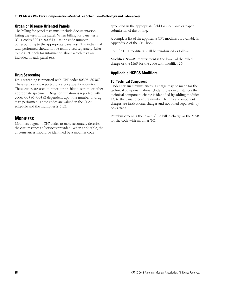#### **Organ or Disease Oriented Panels**

The billing for panel tests must include documentation listing the tests in the panel. When billing for panel tests (CPT codes 80047–80081), use the code number corresponding to the appropriate panel test. The individual tests performed should not be reimbursed separately. Refer to the CPT book for information about which tests are included in each panel test.

## **Drug Screening**

Drug screening is reported with CPT codes 80305–80307. These services are reported once per patient encounter. These codes are used to report urine, blood, serum, or other appropriate specimen. Drug confirmation is reported with codes G0480–G0483 dependent upon the number of drug tests performed. These codes are valued in the CLAB schedule and the multiplier is 6.33.

## **MODIFIERS**

Modifiers augment CPT codes to more accurately describe the circumstances of services provided. When applicable, the circumstances should be identified by a modifier code

appended in the appropriate field for electronic or paper submission of the billing.

A complete list of the applicable CPT modifiers is available in Appendix A of the CPT book.

Specific CPT modifiers shall be reimbursed as follows:

**Modifier 26—**Reimbursement is the lower of the billed charge or the MAR for the code with modifier 26.

## **Applicable HCPCS Modifiers**

#### **TC Technical Component**

Under certain circumstances, a charge may be made for the technical component alone. Under those circumstances the technical component charge is identified by adding modifier TC to the usual procedure number. Technical component charges are institutional charges and not billed separately by physicians.

Reimbursement is the lower of the billed charge or the MAR for the code with modifier TC.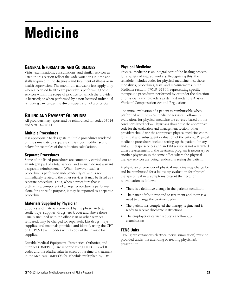# **Medicine**

## **GENERAL INFORMATION AND GUIDELINES**

Visits, examinations, consultations, and similar services as listed in this section reflect the wide variations in time and skills required in the diagnosis and treatment of illness or in health supervision. The maximum allowable fees apply only when a licensed health care provider is performing those services within the scope of practice for which the provider is licensed; or when performed by a non-licensed individual rendering care under the direct supervision of a physician.

# **BILLING AND PAYMENT GUIDELINES**

All providers may report and be reimbursed for codes 97014 and 97810–97814.

#### **Multiple Procedures**

It is appropriate to designate multiple procedures rendered on the same date by separate entries. See modifier section below for examples of the reduction calculations.

## **Separate Procedures**

Some of the listed procedures are commonly carried out as an integral part of a total service, and as such do not warrant a separate reimbursement. When, however, such a procedure is performed independently of, and is not immediately related to the other services, it may be listed as a separate procedure. Thus, when a procedure that is ordinarily a component of a larger procedure is performed alone for a specific purpose, it may be reported as a separate procedure.

## **Materials Supplied by Physician**

Supplies and materials provided by the physician (e.g., sterile trays, supplies, drugs, etc.), over and above those usually included with the office visit or other services rendered, may be charged for separately. List drugs, trays, supplies, and materials provided and identify using the CPT or HCPCS Level II codes with a copy of the invoice for supplies.

Durable Medical Equipment, Prosthetics, Orthotics, and Supplies (DMEPOS), are reported using HCPCS Level II codes and the Alaska value in effect at the time of treatment in the Medicare DMEPOS fee schedule multiplied by 1.84.

## **Physical Medicine**

Physical medicine is an integral part of the healing process for a variety of injured workers. Recognizing this, the schedule includes codes for physical medicine, i.e., those modalities, procedures, tests, and measurements in the Medicine section, 97010–97799, representing specific therapeutic procedures performed by or under the direction of physicians and providers as defined under the Alaska Workers' Compensation Act and Regulations.

The initial evaluation of a patient is reimbursable when performed with physical medicine services. Follow-up evaluations for physical medicine are covered based on the conditions listed below. Physicians should use the appropriate code for the evaluation and management section, other providers should use the appropriate physical medicine codes for initial and subsequent evaluation of the patient. Physical medicine procedures include setting up the patient for any and all therapy services and an E/M service is not warranted unless reassessment of the treatment program is necessary or another physician in the same office where the physical therapy services are being rendered is seeing the patient.

A physician or provider of physical medicine may charge for and be reimbursed for a follow-up evaluation for physical therapy only if new symptoms present the need for re-evaluation as follows:

- There is a definitive change in the patient's condition
- The patient fails to respond to treatment and there is a need to change the treatment plan
- The patient has completed the therapy regime and is ready to receive discharge instructions
- The employer or carrier requests a follow-up examination

## **TENS Units**

TENS (transcutaneous electrical nerve stimulation) must be provided under the attending or treating physician's prescription.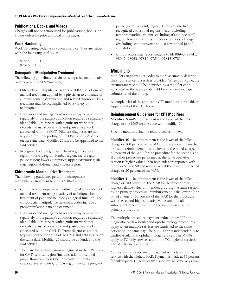#### **Publications, Books, and Videos**

Charges will not be reimbursed for publications, books, or videos unless by prior approval of the payer.

#### **Work Hardening**

Work hardening codes are a covered service. They are valued with the following total RVUs:

97545 3.41 97546 1.36

#### **Osteopathic Manipulative Treatment**

The following guidelines pertain to osteopathic manipulative treatment (codes 98925–98929):

- Osteopathic manipulative treatment (OMT) is a form of manual treatment applied by a physician to eliminate or alleviate somatic dysfunction and related disorders. This treatment may be accomplished by a variety of techniques.
- Evaluation and management services may be reported separately if, the patient's condition requires a separately identifiable E/M service with significant work that exceeds the usual preservice and postservice work associated with the OMT. Different diagnoses are not required for the reporting of the OMT and E/M service on the same date. Modifier 25 should be appended to the E/M service.
- Recognized body regions are: head region; cervical region; thoracic region; lumbar region; sacral region; pelvic region; lower extremities; upper extremities; rib cage region; abdomen and viscera region.

## **Chiropractic Manipulative Treatment**

The following guidelines pertain to chiropractic manipulative treatment (codes 98940–98943):

- Chiropractic manipulative treatment (CMT) is a form of manual treatment using a variety of techniques for treatment of joint and neurophysiological function. The chiropractic manipulative treatment codes include a premanipulation patient assessment.
- Evaluation and management services may be reported separately if, the patient's condition requires a separately identifiable E/M service with significant work that exceeds the usual preservice and postservice work associated with the CMT. Different diagnoses are not required for the reporting of the CMT and E/M service on the same date. Modifier 25 should be appended to the E/M service.
- There are five spinal regions recognized in the CPT book for CMT: cervical region (includes atlanto-occipital joint); thoracic region (includes costovertebral and costotransverse joints); lumbar region; sacral region; and

pelvic (sacroiliac joint) region. There are also five recognized extraspinal regions: head (including temporomandibular joint, excluding atlanto-occipital) region; lower extremities; upper extremities; rib cage (excluding costotransverse and costovertebral joints); and abdomen.

• Chiropractors may report codes 97014, 98940, 98941, 98942, 98943, 97810, 97811, 97813, 97814.

## **MODIFIERS**

Modifiers augment CPT codes to more accurately describe the circumstances of services provided. When applicable, the circumstances should be identified by a modifier code appended in the appropriate field for electronic or paper submission of the billing.

A complete list of the applicable CPT modifiers is available in Appendix A of the CPT book.

#### **Reimbursement Guidelines for CPT Modifiers**

**Modifier 26—**Reimbursement is the lower of the billed charge or the MAR for the code with modifier 26.

Specific modifiers shall be reimbursed as follows:

**Modifier 50—**Reimbursement is the lower of the billed charge or 100 percent of the MAR for the procedure on the first side; reimbursement is the lower of the billed charge or 50 percent of the MAR for the procedure for the second side. If another procedure performed at the same operative session is higher valued then both sides are reported with modifier 51 and 50 and reimbursed at the lower of the billed charge or 50 percent of the MAR.

**Modifier 51—**Reimbursement is the lower of the billed charge or 100 percent of the MAR for the procedure with the highest relative value unit rendered during the same session as the primary procedure; reimbursement is the lower of the billed charge or 50 percent of the MAR for the procedure with the second highest relative value unit and all subsequent procedures during the same session as the primary procedure.

The multiple procedure payment reduction (MPPR) on diagnostic cardiovascular and ophthalmology procedures apply when multiple services are furnished to the same patient on the same day. The MPPRs apply independently to cardiovascular and ophthalmology services. The MPPRs apply to TC-only services and to the TC of global services. The MPPRs are as follows:

*Cardiovascular services*—Full payment is made for the TC service with the highest MAR. Payment is made at 75 percent for subsequent TC services furnished by the same physician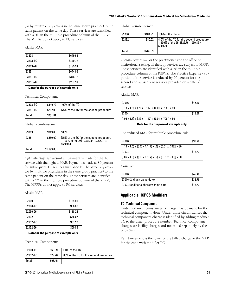(or by multiple physicians in the same group practice) to the same patient on the same day. These services are identified with a "6" in the multiple procedure column of the RBRVS. The MPPRs do not apply to PC services.

#### Alaska MAR:

| 93303    | \$649.66 |
|----------|----------|
| 93303-TC | \$449.72 |
| 93303-26 | \$199.94 |
| 93351    | \$644.03 |
| 93351-TC | \$376.12 |
| 93351-26 | \$267.91 |

**Data for the purpose of example only**

Technical Component:

| 93303-TC | \$449.72 | 100% of the TC                           |
|----------|----------|------------------------------------------|
| 93351-TC | \$282.09 | (75% of the TC for the second procedure) |
| Total    | \$731.81 |                                          |

Global Reimbursement:

| 93303 | \$649.66   | 100%                                                                                               |
|-------|------------|----------------------------------------------------------------------------------------------------|
| 93351 | \$550.00   | (75% of the TC for the second procedure<br>$+100\%$ of the 26) (\$282.09 + \$267.91 =<br>\$550.00) |
| Total | \$1,199.66 |                                                                                                    |

*Ophthalmology services*—Full payment is made for the TC service with the highest MAR. Payment is made at 80 percent for subsequent TC services furnished by the same physician (or by multiple physicians in the same group practice) to the same patient on the same day. These services are identified with a "7" in the multiple procedure column of the RBRVS. The MPPRs do not apply to PC services.

#### Alaska MAR:

| 92060    | \$184.91 |
|----------|----------|
| 92060-TC | \$66.69  |
| 92060-26 | \$118.22 |
| 92132    | \$88.07  |
| 92132-TC | \$37.20  |
| 92132-26 | \$50.86  |
|          |          |

**Data for the purpose of example only**

Technical Component:

| 92060-TC | \$66.69 | 100% of the TC                           |
|----------|---------|------------------------------------------|
| 92132-TC | \$29.76 | (80% of the TC for the second procedure) |
| Total    | \$96.45 |                                          |

Global Reimbursement:

| 92060 | \$184.91 | 100% of the global                                                                                                      |
|-------|----------|-------------------------------------------------------------------------------------------------------------------------|
| 92132 | \$80.62  | $(80\% \text{ of the TC for the second procedure}) + 100\% \text{ of the 26} \text{ ($29.76 + $50.86 = $)}$<br>\$80.62) |
| Total | \$265.53 |                                                                                                                         |

*Therapy services*—For the practitioner and the office or institutional setting, all therapy services are subject to MPPR. These services are identified with a "5" in the multiple procedure column of the RBRVS. The Practice Expense (PE) portion of the service is reduced by 50 percent for the second and subsequent services provided on a date of service.

Alaska MAR:

| 97016                                                                    | \$45.40 |
|--------------------------------------------------------------------------|---------|
| $[(.18 \times 1.5) + (.26 \times 1.117) + (0.01 \times .708)] \times 80$ |         |
| 97024                                                                    | \$19.38 |
| $[(.06 \times 1.5) + (.13 \times 1.117) + (0.01 \times .708)] \times 80$ |         |
|                                                                          |         |

**Data for the purpose of example only**

The reduced MAR for multiple procedure rule:

| 97016                                                                                | \$33.78 |
|--------------------------------------------------------------------------------------|---------|
| $[(.18 \times 1.5) + ((.26 \times 1.117) \times .5) + (0.01 \times .708)] \times 80$ |         |
| 97024                                                                                | \$13.57 |
| $[(.06 \times 1.5) + ((.13 \times 1.117) \times .5) + (0.01 \times .708)] \times 80$ |         |

*Example:*

| 97016                                | \$45.40 |
|--------------------------------------|---------|
| 97016 (2nd unit same date)           | \$33.78 |
| 97024 (additional therapy same date) | \$13.57 |

## **Applicable HCPCS Modifiers**

#### **TC Technical Component**

Under certain circumstances, a charge may be made for the technical component alone. Under those circumstances the technical component charge is identified by adding modifier TC to the usual procedure number. Technical component charges are facility charges and not billed separately by the physician.

Reimbursement is the lower of the billed charge or the MAR for the code with modifier TC.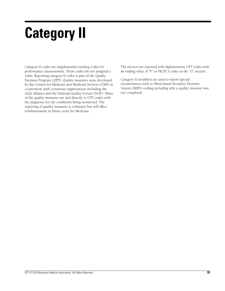# **Category II**

Category II codes are supplemental tracking codes for performance measurement. These codes are not assigned a value. Reporting category II codes is part of the Quality Payment Program (QPP). Quality measures were developed by the Centers for Medicare and Medicaid Services (CMS) in cooperation with consensus organizations including the AQA Alliance and the National Quality Forum (NQF). Many of the quality measures are tied directly to CPT codes with the diagnoses for the conditions being monitored. The reporting of quality measures is voluntary but will affect reimbursement in future years for Medicare.

The services are reported with alphanumeric CPT codes with an ending value of "F" or HCPCS codes in the "G" section.

Category II modifiers are used to report special circumstances such as Merit-based Incentive Payment System (MIPS) coding including why a quality measure was not completed.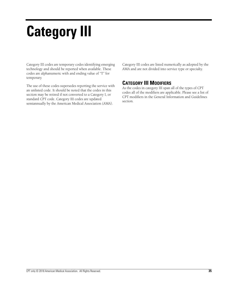# **Category III**

Category III codes are temporary codes identifying emerging technology and should be reported when available. These codes are alphanumeric with and ending value of "T" for temporary.

The use of these codes supersedes reporting the service with an unlisted code. It should be noted that the codes in this section may be retired if not converted to a Category I, or standard CPT code. Category III codes are updated semiannually by the American Medical Association (AMA).

Category III codes are listed numerically as adopted by the AMA and are not divided into service type or specialty.

# **CATEGORY III MODIFIERS**

As the codes in category III span all of the types of CPT codes all of the modifiers are applicable. Please see a list of CPT modifiers in the General Information and Guidelines section.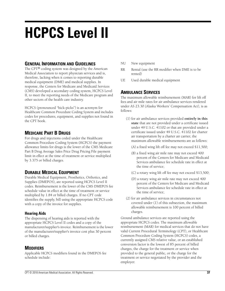# **HCPCS Level II**

## **GENERAL INFORMATION AND GUIDELINES**

The CPT® coding system was designed by the American Medical Association to report physician services and is, therefore, lacking when it comes to reporting durable medical equipment (DME) and medical supplies. In response, the Centers for Medicare and Medicaid Services (CMS) developed a secondary coding system, HCPCS Level II, to meet the reporting needs of the Medicare program and other sectors of the health care industry.

HCPCS (pronounced "hick-picks") is an acronym for Healthcare Common Procedure Coding System and includes codes for procedures, equipment, and supplies not found in the CPT book.

# **MEDICARE PART B DRUGS**

For drugs and injections coded under the Healthcare Common Procedure Coding System (HCPCS) the payment allowance limits for drugs is the lower of the CMS Medicare Part B Drug Average Sales Price Drug Pricing File payment limit in effect at the time of treatment or service multiplied by 3.375 or billed charges.

# **DURABLE MEDICAL EQUIPMENT**

Durable Medical Equipment, Prosthetics, Orthotics, and Supplies (DMEPOS), are reported using HCPCS Level II codes. Reimbursement is the lower of the CMS DMEPOS fee schedule value in effect at the time of treatment or service multiplied by 1.84 or billed charges. If no CPT code identifies the supply, bill using the appropriate HCPCS code with a copy of the invoice for supplies.

## **Hearing Aids**

The dispensing of hearing aids is reported with the appropriate HCPCS Level II codes and a copy of the manufacturer/supplier's invoice. Reimbursement is the lower of the manufacturer/supplier's invoice cost plus 30 percent or billed charges.

# **MODIFIERS**

Applicable HCPCS modifiers found in the DMEPOS fee schedule include:

- NU New equipment
- RR Rental (use the RR modifier when DME is to be rented)
- UE Used durable medical equipment

## **AMBULANCE SERVICES**

The maximum allowable reimbursement (MAR) for lift off fees and air mile rates for air ambulance services rendered under AS 23.30 (Alaska Workers' Compensation Act), is as follows:

- (1) for air ambulance services provided **entirely in this state** that are not provided under a certificate issued under 49 U.S.C. 41102 or that are provided under a certificate issued under 49 U.S.C. 41102 for charter air transportation by a charter air carrier, the maximum allowable reimbursements are as follows:
	- (A) a fixed wing lift off fee may not exceed \$11,500;
	- (B) a fixed wing air mile rate may not exceed 400 percent of the Centers for Medicare and Medicaid Services ambulance fee schedule rate in effect at the time of service;
	- (C) a rotary wing lift off fee may not exceed \$13,500;
	- (D) a rotary wing air mile rate may not exceed 400 percent of the Centers for Medicare and Medicaid Services ambulance fee schedule rate in effect at the time of service;
- (2) for air ambulance services in circumstances not covered under (1) of this subsection, the maximum allowable reimbursement is 100 percent of billed charges.

Ground ambulance services are reported using the appropriate HCPCS codes. The maximum allowable reimbursement (MAR) for medical services that do not have valid Current Procedural Terminology (CPT), or Healthcare Common Procedure Coding System (HCPCS) codes, a currently assigned CMS relative value, or an established conversion factor is the lowest of 85 percent of billed charges, the charge for the treatment or service when provided to the general public, or the charge for the treatment or service negotiated by the provider and the employer.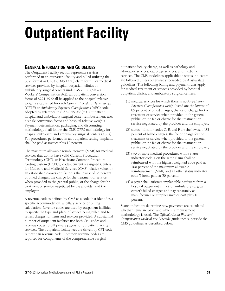# **Outpatient Facility**

# **GENERAL INFORMATION AND GUIDELINES**

The Outpatient Facility section represents services performed in an outpatient facility and billed utilizing the 837i format or UB04 (CMS 1450) claim form. For medical services provided by hospital outpatient clinics or ambulatory surgical centers under AS 23.30 (Alaska Workers' Compensation Act), an outpatient conversion factor of \$221.79 shall be applied to the hospital relative weights established for each *Current Procedural Terminology*  (CPT®) or *Ambulatory Payment Classifications* (APC) code adopted by reference in 8 AAC 45.083(m). Outpatient hospital and ambulatory surgical center reimbursement uses a single conversion factor and hospital relative weights. Payment determination, packaging, and discounting methodology shall follow the CMS OPPS methodology for hospital outpatient and ambulatory surgical centers (ASCs). For procedures performed in an outpatient setting, implants shall be paid at invoice plus 10 percent.

The maximum allowable reimbursement (MAR) for medical services that do not have valid Current Procedural Terminology (CPT), or Healthcare Common Procedure Coding System (HCPCS) codes, currently assigned Centers for Medicare and Medicaid Services (CMS) relative value, or an established conversion factor is the lowest of 85 percent of billed charges, the charge for the treatment or service when provided to the general public, or the charge for the treatment or service negotiated by the provider and the employer.

A revenue code is defined by CMS as a code that identifies a specific accommodation, ancillary service or billing calculation. Revenue codes are used by outpatient facilities to specify the type and place of service being billed and to reflect charges for items and services provided. A substantial number of outpatient facilities use both CPT codes and revenue codes to bill private payers for outpatient facility services. The outpatient facility fees are driven by CPT code rather than revenue code. Common revenue codes are reported for components of the comprehensive surgical

outpatient facility charge, as well as pathology and laboratory services, radiology services, and medicine services. The CMS guidelines applicable to status indicators are followed unless otherwise superseded by Alaska state guidelines. The following billing and payment rules apply for medical treatment or services provided by hospital outpatient clinics, and ambulatory surgical centers:

- (1) medical services for which there is no *Ambulatory Payment Classifications* weight listed are the lowest of 85 percent of billed charges, the fee or charge for the treatment or service when provided to the general public, or the fee or charge for the treatment or service negotiated by the provider and the employer;
- (2) status indicator codes C, E, and P are the lowest of 85 percent of billed charges, the fee or charge for the treatment or service when provided to the general public, or the fee or charge for the treatment or service negotiated by the provider and the employer;
- (3) two or more medical procedures with a status indicator code T on the same claim shall be reimbursed with the highest weighted code paid at 100 percent of the maximum allowable reimbursement (MAR) and all other status indicator code T items paid at 50 percent;
- (4) a payer shall subtract implantable hardware from a hospital outpatient clinic's or ambulatory surgical center's billed charges and pay separately at manufacturer or supplier invoice cost plus 10 percent.

Status indicators determine how payments are calculated, whether items are paid, and which reimbursement methodology is used. The *Official Alaska Workers' Compensation Medical Fee Schedule* guidelines supersede the CMS guidelines as described below.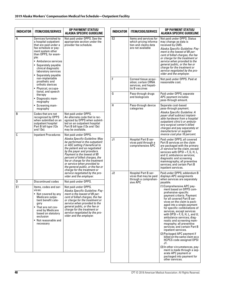| <b>INDICATOR</b> | <b>ITEM/CODE/SERVICE</b>                                                                                                                                                                                                                                                                                                                                                                                                                                     | <b>OP PAYMENT STATUS/</b><br>ALASKA SPECIFIC GUIDELINE                                                                                                                                                                                                                                                                                                                                                                                                          |
|------------------|--------------------------------------------------------------------------------------------------------------------------------------------------------------------------------------------------------------------------------------------------------------------------------------------------------------------------------------------------------------------------------------------------------------------------------------------------------------|-----------------------------------------------------------------------------------------------------------------------------------------------------------------------------------------------------------------------------------------------------------------------------------------------------------------------------------------------------------------------------------------------------------------------------------------------------------------|
| A                | Services furnished to<br>a hospital outpatient<br>that are paid under a<br>fee schedule or pay-<br>ment system other<br>than OPPS, for exam-<br>ple:<br>• Ambulance services<br>• Separately payable<br>clinical diagnostic<br>laboratory services<br>• Separately payable<br>non-implantable<br>prosthetic and<br>orthotic devices<br>• Physical, occupa-<br>tional, and speech<br>therapy<br>• Diagnostic mam-<br>mography<br>• Screening mam-<br>mography | Not paid under OPPS. See the<br>appropriate section under the<br>provider fee schedule.                                                                                                                                                                                                                                                                                                                                                                         |
| в                | Codes that are not<br>recognized by OPPS<br>when submitted on an<br>outpatient hospital<br>Part B bill type (12x)<br>and 13x).                                                                                                                                                                                                                                                                                                                               | Not paid under OPPS.<br>An alternate code that is rec-<br>ognized by OPPS when submit-<br>ted on an outpatient hospital<br>Part B bill type (12x and 13x)<br>may be available.                                                                                                                                                                                                                                                                                  |
| C                | <b>Inpatient Procedures</b>                                                                                                                                                                                                                                                                                                                                                                                                                                  | Not paid under OPPS.<br>Alaska Specific Guideline: May<br>be performed in the outpatient<br>or ASC setting if beneficial to<br>the patient and as negotiated<br>by the payer and providers.<br>Payment is the lowest of 85<br>percent of billed charges, the<br>fee or charge for the treatment<br>or service when provided to<br>the general public, or the fee or<br>charge for the treatment or<br>service negotiated by the pro-<br>vider and the employer. |
| D                | Discontinued codes                                                                                                                                                                                                                                                                                                                                                                                                                                           | Not paid under OPPS.                                                                                                                                                                                                                                                                                                                                                                                                                                            |
| E1               | Items, codes and ser-<br>vices:<br>• Not covered by any<br>Medicare outpa-<br>tient benefit cate-<br>gory<br>• That are not cov-<br>ered by Medicare<br>based on statutory<br>exclusion<br>• Not reasonable and<br>necessary                                                                                                                                                                                                                                 | Not paid under OPPS.<br>Alaska Specific Guideline: Pay-<br>ment is the lowest of 85 per-<br>cent of billed charges, the fee<br>or charge for the treatment or<br>service when provided to the<br>general public, or the fee or<br>charge for the treatment or<br>service negotiated by the pro-<br>vider and the employer.                                                                                                                                      |

| <b>INDICATOR</b> | <b>ITEM/CODE/SERVICE</b>                                                                      | OP PAYMENT STATUS/<br>ALASKA SPECIFIC GUIDELINE                                                                                                                                                                                                                                                                                                                                                                                                                                                                                                                                                                                                                                                                                                                                                           |
|------------------|-----------------------------------------------------------------------------------------------|-----------------------------------------------------------------------------------------------------------------------------------------------------------------------------------------------------------------------------------------------------------------------------------------------------------------------------------------------------------------------------------------------------------------------------------------------------------------------------------------------------------------------------------------------------------------------------------------------------------------------------------------------------------------------------------------------------------------------------------------------------------------------------------------------------------|
| E <sub>2</sub>   | Items and services for<br>which pricing informa-<br>tion and claims data<br>are not available | Not paid under OPPS. Status<br>may change as data is<br>received by CMS.<br>Alaska Specific Guideline: Pay-<br>ment is the lowest of 85 per-<br>cent of billed charges, the fee<br>or charge for the treatment or<br>service when provided to the<br>general public, or the fee or<br>charge for the treatment or<br>service negotiated by the pro-<br>vider and the employer.                                                                                                                                                                                                                                                                                                                                                                                                                            |
| F                | Corneal tissue acqui-<br>sition; certain CRNA<br>services, and hepati-<br>tis B vaccines      | Not paid under OPPS. Paid at<br>reasonable cost.                                                                                                                                                                                                                                                                                                                                                                                                                                                                                                                                                                                                                                                                                                                                                          |
| G                | Pass-through drugs<br>and biologicals                                                         | Paid under OPPS; separate<br>APC payment includes<br>pass-through amount.                                                                                                                                                                                                                                                                                                                                                                                                                                                                                                                                                                                                                                                                                                                                 |
| н                | Pass-through device<br>categories                                                             | Separate cost-based<br>pass-through payment.<br>Alaska Specific Guideline: A<br>payer shall subtract implant-<br>able hardware from a hospital<br>outpatient clinic's or ambula-<br>tory surgical center's billed<br>charges and pay separately at<br>manufacturer or supplier<br>invoice cost plus 10 percent.                                                                                                                                                                                                                                                                                                                                                                                                                                                                                           |
| J1               | Hospital Part B ser-<br>vices paid through a<br>comprehensive APC                             | Paid under OPPS; all covered<br>Part B services on the claim<br>are packaged with the primary<br>J1 service for the claim, except<br>services with $\mathsf{OPSI} = \mathsf{F}$ , $\mathsf{G}$ , $\mathsf{H}$ , L,<br>and U; ambulance services;<br>diagnostic and screening<br>mammography; all preventive<br>services; and certain Part B<br>inpatient services.                                                                                                                                                                                                                                                                                                                                                                                                                                        |
| J <sub>2</sub>   | Hospital Part B ser-<br>vices that may be paid<br>through a comprehen-<br>sive APC            | Paid under OPPS; addendum B<br>displays APC assignments<br>when services are separately<br>payable.<br>(1) Comprehensive APC pay-<br>ment based on OPPS com-<br>prehensive-specific<br>payment criteria. Payment<br>for all covered Part B ser-<br>vices on the claim is pack-<br>aged into a single payment<br>for specific combinations of<br>services, except services<br>with $OPSI = F$ , G, H, L, and U;<br>ambulance services; diag-<br>nostic and screening mam-<br>mography; all preventive<br>services; and certain Part B<br>inpatient services.<br>(2) Packaged APC payment if<br>billed on the same claim as a<br>HCPCS code assigned OPSI<br>J1.<br>(3) In other circumstances, pay-<br>ment is made through a sep-<br>arate APC payment or<br>packaged into payment for<br>other services. |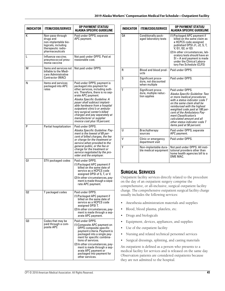| <b>INDICATOR</b> | <b>ITEM/CODE/SERVICE</b>                                                                                              | <b>OP PAYMENT STATUS/</b><br><b>ALASKA SPECIFIC GUIDELINE</b>                                                                                                                                                                                                                                                                                                                                                             |
|------------------|-----------------------------------------------------------------------------------------------------------------------|---------------------------------------------------------------------------------------------------------------------------------------------------------------------------------------------------------------------------------------------------------------------------------------------------------------------------------------------------------------------------------------------------------------------------|
| К                | Non-pass-through<br>drugs and<br>non-implantable bio-<br>logicals, including<br>therapeutic radio-<br>pharmaceuticals | Paid under OPPS; separate<br>APC payment.                                                                                                                                                                                                                                                                                                                                                                                 |
| L                | Influenza vaccine;<br>pneumococcal pneu-<br>monia vaccine                                                             | Not paid under OPPS. Paid at<br>reasonable cost.                                                                                                                                                                                                                                                                                                                                                                          |
| м                | Items and services not<br>billable to the Medi-<br>care Administrative<br><b>Contractor (MAC)</b>                     | Not paid under OPPS.                                                                                                                                                                                                                                                                                                                                                                                                      |
| Ν                | Items and services<br>packaged into APC<br>rates                                                                      | Paid under OPPS; payment is<br>packaged into payment for<br>other services, including outli-<br>ers. Therefore, there is no sep-<br>arate APC payment.<br>Alaska Specific Guideline: A<br>payer shall subtract implant-<br>able hardware from a hospital<br>outpatient clinic's or ambula-<br>tory surgical center's billed<br>charges and pay separately at<br>manufacturer or supplier<br>invoice cost plus 10 percent. |
| P                | Partial hospitalization                                                                                               | Paid under OPPS.<br>Alaska Specific Guideline: Pay-<br>ment is the lowest of 85 per-<br>cent of billed charges, the fee<br>or charge for the treatment or<br>service when provided to the<br>general public, or the fee or<br>charge for the treatment or<br>service negotiated by the pro-<br>vider and the employer.                                                                                                    |
| Ω1               | STV packaged codes                                                                                                    | Paid under OPPS.<br>(1) Packaged APC payment if<br>billed on the same date of<br>service as a HCPCS code<br>assigned OPSI of S, T, or V.<br>(2) In other circumstances, pay-<br>ment is made though a sepa-<br>rate APC payment.                                                                                                                                                                                          |
| 02               | T packaged codes                                                                                                      | Paid under OPPS.<br>(1) Packaged APC payment if<br>billed on the same date of<br>service as a HCPCS code<br>assigned OPSI T.<br>(2) In other circumstances, pay-<br>ment is made through a sep-<br>arate APC payment.                                                                                                                                                                                                     |
| 03               | Codes that may be<br>paid through a com-<br>posite APC                                                                | Paid under OPPS.<br>(1) Composite APC payment on<br>OPPS composite-specific<br>payment criteria. Payment is<br>packaged into a single pay-<br>ment for specific combina-<br>tions of services.<br>(2) In other circumstances, pay-<br>ment is made through a sep-<br>arate APC payment or<br>packaged into payment for<br>other services.                                                                                 |

| <b>INDICATOR</b> | <b>ITEM/CODE/SERVICE</b>                                    | <b>OP PAYMENT STATUS/</b><br><b>ALASKA SPECIFIC GUIDELINE</b>                                                                                                                                                                                                                                                                                                        |
|------------------|-------------------------------------------------------------|----------------------------------------------------------------------------------------------------------------------------------------------------------------------------------------------------------------------------------------------------------------------------------------------------------------------------------------------------------------------|
| 04               | Conditionally pack-<br>aged laboratory tests                | (1) Packaged APC payment if<br>billed on the same claim as<br>a HCPCS code assigned<br>published OPSI J1, J2, S, T,<br>V, Q1, Q2, or Q3.<br>(2) In other circumstances, lab-<br>oratory tests should have an<br>$SI = A$ and payment is made<br>under the Clinical Labora-<br>tory Fee Schedule (CLFS)                                                               |
| R                | Blood and blood prod-<br>ucts                               | Paid under OPPS.                                                                                                                                                                                                                                                                                                                                                     |
| S                | Significant proce-<br>dure, not discounted<br>when multiple | Paid under OPPS.                                                                                                                                                                                                                                                                                                                                                     |
| T                | Significant proce-<br>dure, multiple reduc-<br>tion applies | Paid under OPPS.<br>Alaska Specific Guideline: Two<br>or more medical procedures<br>with a status indicator code T<br>on the same claim shall be<br>reimbursed with the highest<br>weighted code paid at 100 per-<br>cent of the Ambulatory Pay-<br>ment Classification's<br>calculated amount and all<br>other status indicator code T<br>items paid at 50 percent. |
| U                | Brachytherapy<br>sources                                    | Paid under OPPS; separate<br>APC payment.                                                                                                                                                                                                                                                                                                                            |
| V                | Clinic or emergency<br>department visit                     | Paid under OPPS.                                                                                                                                                                                                                                                                                                                                                     |
| γ                | Non-implantable dura-<br>ble medical equipment              | Not paid under OPPS. All insti-<br>tutional providers other than<br>home health agencies bill to a<br>DMF MAC.                                                                                                                                                                                                                                                       |

# **SURGICAL SERVICES**

Outpatient facility services directly related to the procedure on the day of an outpatient surgery comprise the comprehensive, or all-inclusive, surgical outpatient facility charge. The comprehensive outpatient surgical facility charge usually includes the following services:

- Anesthesia administration materials and supplies
- Blood, blood plasma, platelets, etc.
- Drugs and biologicals
- Equipment, devices, appliances, and supplies
- Use of the outpatient facility
- Nursing and related technical personnel services
- Surgical dressings, splinting, and casting materials

An outpatient is defined as a person who presents to a medical facility for services and is released on the same day. Observation patients are considered outpatients because they are not admitted to the hospital.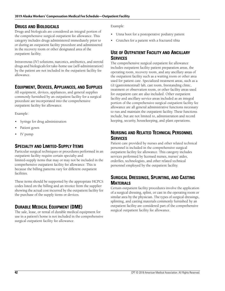## **DRUGS AND BIOLOGICALS**

Drugs and biologicals are considered an integral portion of the comprehensive surgical outpatient fee allowance. This category includes drugs administered immediately prior to or during an outpatient facility procedure and administered in the recovery room or other designated area of the outpatient facility.

Intravenous (IV) solutions, narcotics, antibiotics, and steroid drugs and biologicals for take-home use (self-administration) by the patient are not included in the outpatient facility fee allowance.

# **EQUIPMENT, DEVICES, APPLIANCES, AND SUPPLIES**

All equipment, devices, appliances, and general supplies commonly furnished by an outpatient facility for a surgical procedure are incorporated into the comprehensive outpatient facility fee allowance.

Example:

- Syringe for drug administration
- Patient gown
- IV pump

# **SPECIALTY AND LIMITED-SUPPLY ITEMS**

Particular surgical techniques or procedures performed in an outpatient facility require certain specialty and limited-supply items that may or may not be included in the comprehensive outpatient facility fee allowance. This is because the billing patterns vary for different outpatient facilities.

These items should be supported by the appropriate HCPCS codes listed on the billing and an invoice from the supplier showing the actual cost incurred by the outpatient facility for the purchase of the supply items or devices.

# **DURABLE MEDICAL EQUIPMENT (DME)**

The sale, lease, or rental of durable medical equipment for use in a patient's home is not included in the comprehensive surgical outpatient facility fee allowance.

Example:

- Unna boot for a postoperative podiatry patient
- Crutches for a patient with a fractured tibia

# **USE OF OUTPATIENT FACILITY AND ANCILLARY SERVICES**

The comprehensive surgical outpatient fee allowance includes outpatient facility patient preparation areas, the operating room, recovery room, and any ancillary areas of the outpatient facility such as a waiting room or other area used for patient care. Specialized treatment areas, such as a GI (gastrointestinal) lab, cast room, freestanding clinic, treatment or observation room, or other facility areas used for outpatient care are also included. Other outpatient facility and ancillary service areas included as an integral portion of the comprehensive surgical outpatient facility fee allowance are all general administrative functions necessary to run and maintain the outpatient facility. These functions include, but are not limited to, administration and record keeping, security, housekeeping, and plant operations.

# **NURSING AND RELATED TECHNICAL PERSONNEL SERVICES**

Patient care provided by nurses and other related technical personnel is included in the comprehensive surgical outpatient facility fee allowance. This category includes services performed by licensed nurses, nurses' aides, orderlies, technologists, and other related technical personnel employed by the outpatient facility.

# **SURGICAL DRESSINGS, SPLINTING, AND CASTING MATERIALS**

Certain outpatient facility procedures involve the application of a surgical dressing, splint, or cast in the operating room or similar area by the physician. The types of surgical dressings, splinting, and casting materials commonly furnished by an outpatient facility are considered part of the comprehensive surgical outpatient facility fee allowance.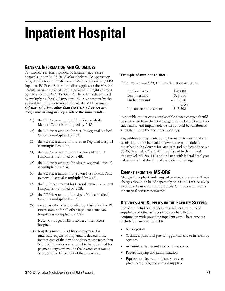# **Inpatient Hospital**

# **GENERAL INFORMATION AND GUIDELINES**

For medical services provided by inpatient acute care hospitals under AS 23.30 (Alaska Workers' Compensation Act), the Centers for Medicare and Medicaid Services (CMS) Inpatient PC Pricer Software shall be applied to the *Medicare Severity Diagnosis Related Groups* (MS-DRG) weight adopted by reference in 8 AAC 45.083(m). The MAR is determined by multiplying the CMS Inpatient PC Pricer amount by the applicable multiplier to obtain the Alaska MAR payment. *Software solutions other than the CMS PC Pricer are acceptable as long as they produce the same results.*

- (1) the PC Pricer amount for Providence Alaska Medical Center is multiplied by 2.38;
- (2) the PC Pricer amount for Mat-Su Regional Medical Center is multiplied by 1.84;
- (3) the PC Pricer amount for Bartlett Regional Hospital is multiplied by 1.79;
- (4) the PC Pricer amount for Fairbanks Memorial Hospital is multiplied by 1.48;
- (5) the PC Pricer amount for Alaska Regional Hospital is multiplied by 2.32;
- (6) the PC Pricer amount for Yukon Kuskokwim Delta Regional Hospital is multiplied by 2.63;
- (7) the PC Pricer amount for Central Peninsula General Hospital is multiplied by 1.38;
- (8) the PC Pricer amount for Alaska Native Medical Center is multiplied by 2.53;
- (9) except as otherwise provided by Alaska law, the PC Pricer amount for all other inpatient acute care hospitals is multiplied by 2.02;

**Note:** Mt. Edgecumbe is now a critical access hospital.

(10) hospitals may seek additional payment for unusually expensive implantable devices if the invoice cost of the device or devices was more than \$25,000. Invoices are required to be submitted for payment. Payment will be the invoice cost minus \$25,000 plus 10 percent of the difference.

## **Example of Implant Outlier:**

If the implant was \$28,000 the calculation would be:

| Implant invoice       | \$28,000   |
|-----------------------|------------|
| Less threshold        | (\$25,000) |
| Outlier amount        | $= $3,000$ |
|                       | x 110%     |
| Implant reimbursement | $= $3.300$ |

In possible outlier cases, implantable device charges should be subtracted from the total charge amount before the outlier calculation, and implantable devices should be reimbursed separately using the above methodology.

Any additional payments for high-cost acute care inpatient admissions are to be made following the methodology described in the Centers for Medicare and Medicaid Services (CMS) final rule CMS-1243-F published in the *Federal Register* Vol. 68, No. 110 and updated with federal fiscal year values current at the time of the patient discharge.

## **EXEMPT FROM THE MS-DRG**

Charges for a physician's surgical services are exempt. These charges should be billed separately on a CMS-1500 or 837p electronic form with the appropriate CPT procedure codes for surgical services performed.

## **SERVICES AND SUPPLIES IN THE FACILITY SETTING**

The MAR includes all professional services, equipment, supplies, and other services that may be billed in conjunction with providing inpatient care. These services include but are not limited to:

- Nursing staff
- Technical personnel providing general care or in ancillary services
- Administrative, security, or facility services
- Record keeping and administration
- Equipment, devices, appliances, oxygen, pharmaceuticals, and general supplies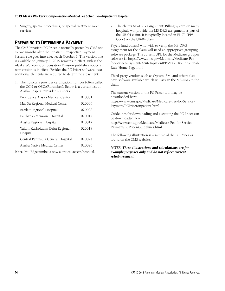Surgery, special procedures, or special treatment room services

# **PREPARING TO DETERMINE A PAYMENT**

The CMS Inpatient PC Pricer is normally posted by CMS one to two months after the Inpatient Prospective Payment System rule goes into effect each October 1. The version that is available on January 1, 2019 remains in effect, unless the Alaska Workers' Compensation Division publishes notice a new version is in effect. Besides the PC Pricer software, two additional elements are required to determine a payment:

1. The hospital's provider certification number (often called the CCN or OSCAR number): Below is a current list of Alaska hospital provider numbers:

| Providence Alaska Medical Center           | 020001 |
|--------------------------------------------|--------|
| Mat-Su Regional Medical Center             | 020006 |
| Bartlett Regional Hospital                 | 020008 |
| Fairbanks Memorial Hospital                | 020012 |
| Alaska Regional Hospital                   | 020017 |
| Yukon Kuskokwim Delta Regional<br>Hospital | 020018 |
| Central Peninsula General Hospital         | 020024 |
| Alaska Native Medical Center               | 020026 |

**Note:** Mt. Edgecumbe is now a critical access hospital.

2. The claim's MS-DRG assignment: Billing systems in many hospitals will provide the MS-DRG assignment as part of the UB-04 claim. It is typically located in FL 71 (PPS Code) on the UB-04 claim.

Payers (and others) who wish to verify the MS-DRG assignment for the claim will need an appropriate grouping software package. The current URL for the Medicare grouper software is: https://www.cms.gov/Medicare/Medicare-Feefor-Service-Payment/AcuteInpatientPPS/FY2018-IPPS-Final-Rule-Home-Page.html

Third-party vendors such as Optum, 3M, and others also have software available which will assign the MS-DRG to the claim.

The current version of the PC Pricer tool may be downloaded here: https://www.cms.gov/Medicare/Medicare-Fee-for-Service-Payment/PCPricer/inpatient.html

Guidelines for downloading and executing the PC Pricer can be downloaded here:

http://www.cms.gov/Medicare/Medicare-Fee-for-Service-Payment/PCPricer/Guidelines.html

The following illustration is a sample of the PC Pricer as found on the CMS website.

#### *NOTE: These illustrations and calculations are for example purposes only and do not reflect current reimbursement.*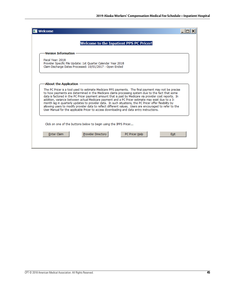| Welcome<br><b>Welcome to the Inpatient PPS PC Pricer!</b>                                                                                                                                                                                                                                                                                                                                                                                                                                                                                                                                                                                                                                                                                                             |  |
|-----------------------------------------------------------------------------------------------------------------------------------------------------------------------------------------------------------------------------------------------------------------------------------------------------------------------------------------------------------------------------------------------------------------------------------------------------------------------------------------------------------------------------------------------------------------------------------------------------------------------------------------------------------------------------------------------------------------------------------------------------------------------|--|
| <b>Version Information</b><br>Fiscal Year: 2018<br>Provider Specific File Update: 1st Quarter Calendar Year 2018<br>Claim Discharge Dates Processed: 10/01/2017 - Open Ended                                                                                                                                                                                                                                                                                                                                                                                                                                                                                                                                                                                          |  |
| About the Application<br>The PC Pricer is a tool used to estimate Medicare PPS payments. The final payment may not be precise<br>to how payments are determined in the Medicare claims processing system due to the fact that some<br>data is factored in the PC Pricer payment amount that is paid by Medicare via provider cost reports. In<br>addition, variance between actual Medicare payment and a PC Pricer estimate may exist due to a 3-<br>month lag in quarterly updates to provider data. In such situations, the PC Pricer offer flexibility by<br>allowing users to modify provider data to reflect different values. Users are encouraged to refer to the<br>User Manual for the applicable Pricer to access downloading and data entry instructions. |  |
| Click on one of the buttons below to begin using the IPPS Pricer<br><b>Provider Directory</b><br><b>Enter Claim</b><br>PC Pricer Help<br><b>Exit</b>                                                                                                                                                                                                                                                                                                                                                                                                                                                                                                                                                                                                                  |  |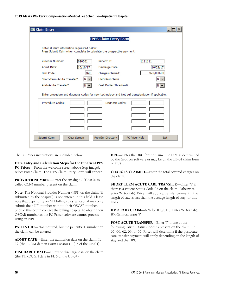| <b>Claim Entry</b>                                                                                                     |                                      |             |
|------------------------------------------------------------------------------------------------------------------------|--------------------------------------|-------------|
|                                                                                                                        | <b>IPPS Claim Entry Form</b>         |             |
| Enter all claim information requested below.<br>Press Submit Claim when complete to calculate the prospective payment. |                                      |             |
| Provider Number:<br>020001                                                                                             | Patient ID:                          | 1111111     |
| Admit Date:<br>10/10/17                                                                                                | Discharge Date:                      | 10/22/17    |
| 460<br>DRG Code:                                                                                                       | Charges Claimed:                     | \$75,000.00 |
| Short-Term Acute Transfer?                                                                                             | HMO Paid Claim?                      |             |
| Post-Acute Transfer?<br>$N -$                                                                                          | Cost Outlier Threshold?              |             |
| Enter procedure and diagnosis codes for new technology and islet cell transplantation if applicable.                   |                                      |             |
| Procedure Codes:                                                                                                       | Diagnosis Codes:                     |             |
|                                                                                                                        |                                      |             |
|                                                                                                                        |                                      |             |
|                                                                                                                        |                                      |             |
| Submit Claim<br>Clear Screen                                                                                           | Provider Directory<br>PC Pricer Help | <b>Exit</b> |

The PC Pricer instructions are included below:

**Data Entry and Calculation Steps for the Inpatient PPS PC Pricer**—From the welcome screen above (top image), select Enter Claim. The IPPS Claim Entry Form will appear.

**PROVIDER NUMBER**—Enter the six-digit OSCAR (also called CCN) number present on the claim.

**Note:** The National Provider Number (NPI) on the claim (if submitted by the hospital) is not entered in this field. Please note that depending on NPI billing rules, a hospital may only submit their NPI number without their OSCAR number. Should this occur, contact the billing hospital to obtain their OSCAR number as the PC Pricer software cannot process using an NPI.

**PATIENT ID**—Not required, but the patient's ID number on the claim can be entered.

**ADMIT DATE**—Enter the admission date on the claim FL 12 (the FROM date in Form Locator (FL) 6 of the UB-04).

**DISCHARGE DATE**—Enter the discharge date on the claim (the THROUGH date in FL 6 of the UB-04).

**DRG**—Enter the DRG for the claim. The DRG is determined by the Grouper software or may be on the UB-04 claim form in FL 71.

**CHARGES CLAIMED**—Enter the total covered charges on the claim.

**SHORT TERM ACUTE CARE TRANSFER**—Enter 'Y' if there is a Patient Status Code 02 on the claim. Otherwise, enter 'N' (or tab). Pricer will apply a transfer payment if the length of stay is less than the average length of stay for this DRG.

**HMO PAID CLAIM**—N/A for IHS/CHS. Enter 'N' (or tab). HMOs must enter 'Y.'

**POST ACUTE TRANSFER**—Enter 'Y' if one of the following Patient Status Codes is present on the claim: 03, 05, 06, 62, 63, or 65. Pricer will determine if the postacute care transfer payment will apply depending on the length of stay and the DRG.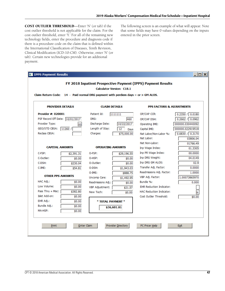**COST OUTLIER THRESHOLD**—Enter 'N' (or tab) if the cost outlier threshold is not applicable for the claim. For the cost outlier threshold, enter 'Y.' For all of the remaining new technology fields, enter the procedure and diagnosis code if there is a procedure code on the claim that is defined within the International Classification of Diseases, Tenth Revision, Clinical Modification (ICD-10-CM). Otherwise, enter 'N' (or tab). Certain new technologies provide for an additional payment.

The following screen is an example of what will appear. Note that some fields may have 0 values depending on the inputs entered in the prior screen.

|                                 | <b>Calculator Version: C18.1</b><br>Claim Return Code: $14$ - Paid normal DRG payment with perdiem days = or > GM ALOS. |                          |             |                                 |                     |
|---------------------------------|-------------------------------------------------------------------------------------------------------------------------|--------------------------|-------------|---------------------------------|---------------------|
|                                 | <b>PROVIDER DETAILS</b><br><b>CLAIM DETAILS</b><br><b>PPS FACTORS &amp; ADJUSTMENTS</b>                                 |                          |             |                                 |                     |
| Provider #: 020001              |                                                                                                                         | Patient Id:              | 1111111     | OP/CAP CCR:                     | $0.2350$ / $0.0180$ |
| PSF Record Eff Date: 10/01/2017 |                                                                                                                         | DRG:                     | 460         | OP/CAP DSH:                     | $0.2662$ / 0.0962   |
| Provider Type:                  | 00                                                                                                                      | Discharge Date:          | 10/22/2017  | Operating IME:                  | 000000.030440092    |
| GEO/STD CBSA:                   | 11260 /                                                                                                                 | Length of Stay:          | 12<br>Davs  | Capital IME:                    | 000000.022919518    |
| Reclass CBSA:                   |                                                                                                                         | Charges:                 | \$75,000.00 | Nat Labor/Non-Labor %:          | 0.6830 / 0.3170     |
|                                 |                                                                                                                         |                          |             | Nat Labor:                      | 03806.04            |
|                                 |                                                                                                                         |                          |             | Nat Non-Labor:                  | 01766.49            |
| <b>CAPITAL AMOUNTS</b>          |                                                                                                                         | <b>OPERATING AMOUNTS</b> |             | Inp Wage Index:                 | 01.3305             |
| C-FSP:                          | \$2,391.31                                                                                                              | O-FSP:                   | \$29,196.55 | Inp PR Wage Index:              | 00.0000             |
| C-Outlier:                      | \$0.00                                                                                                                  | O-HSP:                   | \$0.00      | Inp DRG Weight:                 | 04.0149             |
| C-DSH:                          | \$230.04                                                                                                                | O-Outlier:               | \$0.00      | Inp DRG GM ALOS:                | 02.9                |
| $C$ -IME:                       | \$54.81                                                                                                                 | O-DSH:                   | \$1,943.03  | Transfer Adj. Factor:           | 0.0000              |
|                                 |                                                                                                                         | O-IME:                   | \$888.75    | Readmissions Adj. Factor:       | 1.0000              |
| <b>OTHER PPS AMOUNTS</b>        |                                                                                                                         | Uncomp Care:             | \$1,492.95  | VBP Adj. Factor:                | 1.00073865970       |
| HAC Adj.:                       | \$0.00                                                                                                                  | Readmissions Adj.:       | \$0.00      | Bundle %:                       | 0.000               |
| Low Volume:                     | \$0.00                                                                                                                  | <b>VBP Adjustment:</b>   | \$21.57     | <b>EHR Reduction Indicator:</b> |                     |
| Pass Thru + Misc:               | \$382.80                                                                                                                | New Tech:                | \$0.00      | <b>HAC Reduction Indicator:</b> | N                   |
| Islet Add-on:                   | \$0.00                                                                                                                  |                          |             | Cost Outlier Threshold:         | \$0.00              |
| EHR Adj.:                       | \$0.00                                                                                                                  | * TOTAL PAYMENT *        |             |                                 |                     |
| Bundle Adj.:                    | \$0.00                                                                                                                  |                          | \$36,601.81 |                                 |                     |
| MA-HSP:                         | \$0.00                                                                                                                  |                          |             |                                 |                     |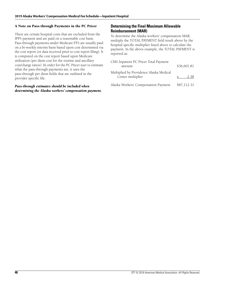#### **A Note on Pass-through Payments in the PC Pricer**

There are certain hospital costs that are excluded from the IPPS payment and are paid on a reasonable cost basis. Pass-through payments under Medicare FFS are usually paid on a bi-weekly interim basis based upon cost determined via the cost report (or data received prior to cost report filing). It is computed on the cost report based upon Medicare utilization (per diem cost for the routine and ancillary cost/charge ratios). In order for the PC Pricer user to estimate what the pass-through payments are, it uses the pass-through per diem fields that are outlined in the provider specific file.

#### *Pass-through estimates should be included when determining the Alaska workers' compensation payment.*

#### **Determining the Final Maximum Allowable Reimbursement (MAR)**

To determine the Alaska workers' compensation MAR, multiply the TOTAL PAYMENT field result above by the hospital specific multiplier listed above to calculate the payment. In the above example, the TOTAL PAYMENT is reported as:

| CMS Inpatient PC Pricer Total Payment<br>amount              | \$36,601.81 |
|--------------------------------------------------------------|-------------|
| Multiplied by Providence Alaska Medical<br>Center multiplier | 2.38        |
| Alaska Workers' Compensation Payment                         | \$87,112.31 |